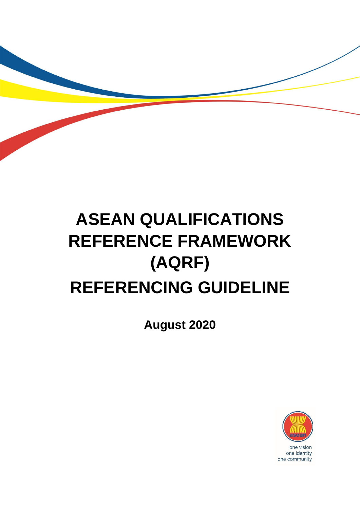# **ASEAN QUALIFICATIONS REFERENCE FRAMEWORK (AQRF) REFERENCING GUIDELINE**

**August 2020**

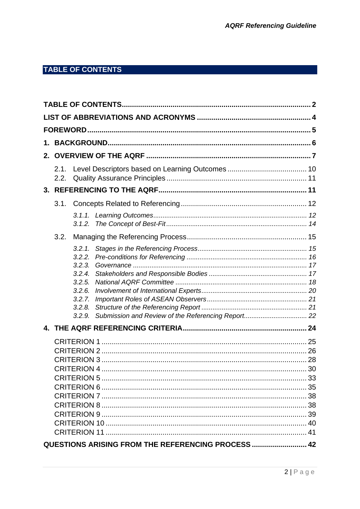# <span id="page-1-0"></span>**TABLE OF CONTENTS**

| 2. |      |                  |                                                    |  |
|----|------|------------------|----------------------------------------------------|--|
|    | 2.1. |                  |                                                    |  |
|    | 2.2. |                  |                                                    |  |
|    |      |                  |                                                    |  |
|    | 3.1. |                  |                                                    |  |
|    |      |                  |                                                    |  |
|    |      |                  |                                                    |  |
|    | 3.2. |                  |                                                    |  |
|    |      | 3.2.1.           |                                                    |  |
|    |      | 3.2.2.           |                                                    |  |
|    |      | 3.2.3.           |                                                    |  |
|    |      | 3.2.4.<br>3.2.5. |                                                    |  |
|    |      | 3.2.6.           |                                                    |  |
|    |      | 3.2.7.           |                                                    |  |
|    |      | 3.2.8.           |                                                    |  |
|    |      | 3.2.9.           |                                                    |  |
|    |      |                  |                                                    |  |
|    |      |                  |                                                    |  |
|    |      |                  |                                                    |  |
|    |      |                  |                                                    |  |
|    |      |                  |                                                    |  |
|    |      |                  |                                                    |  |
|    |      |                  |                                                    |  |
|    |      |                  |                                                    |  |
|    |      |                  |                                                    |  |
|    |      |                  |                                                    |  |
|    |      |                  |                                                    |  |
|    |      |                  |                                                    |  |
|    |      |                  | QUESTIONS ARISING FROM THE REFERENCING PROCESS  42 |  |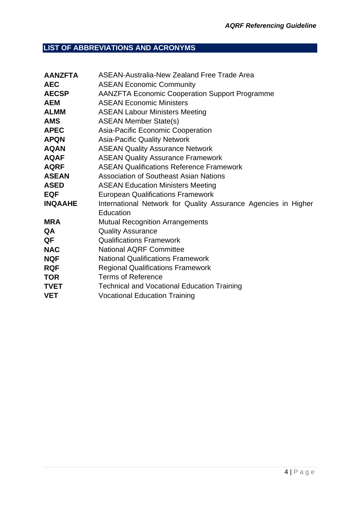# <span id="page-3-0"></span>**LIST OF ABBREVIATIONS AND ACRONYMS**

| <b>AANZFTA</b> | <b>ASEAN-Australia-New Zealand Free Trade Area</b>             |  |
|----------------|----------------------------------------------------------------|--|
| <b>AEC</b>     | <b>ASEAN Economic Community</b>                                |  |
| <b>AECSP</b>   | <b>AANZFTA Economic Cooperation Support Programme</b>          |  |
| <b>AEM</b>     | <b>ASEAN Economic Ministers</b>                                |  |
| <b>ALMM</b>    | <b>ASEAN Labour Ministers Meeting</b>                          |  |
| <b>AMS</b>     | <b>ASEAN Member State(s)</b>                                   |  |
| <b>APEC</b>    | Asia-Pacific Economic Cooperation                              |  |
| <b>APQN</b>    | <b>Asia-Pacific Quality Network</b>                            |  |
| <b>AQAN</b>    | <b>ASEAN Quality Assurance Network</b>                         |  |
| <b>AQAF</b>    | <b>ASEAN Quality Assurance Framework</b>                       |  |
| <b>AQRF</b>    | <b>ASEAN Qualifications Reference Framework</b>                |  |
| <b>ASEAN</b>   | <b>Association of Southeast Asian Nations</b>                  |  |
| <b>ASED</b>    | <b>ASEAN Education Ministers Meeting</b>                       |  |
| <b>EQF</b>     | <b>European Qualifications Framework</b>                       |  |
| <b>INQAAHE</b> | International Network for Quality Assurance Agencies in Higher |  |
|                | Education                                                      |  |
| <b>MRA</b>     | <b>Mutual Recognition Arrangements</b>                         |  |
| QA             | <b>Quality Assurance</b>                                       |  |
| QF             | <b>Qualifications Framework</b>                                |  |
| <b>NAC</b>     | <b>National AQRF Committee</b>                                 |  |
| <b>NQF</b>     | <b>National Qualifications Framework</b>                       |  |
| <b>RQF</b>     | <b>Regional Qualifications Framework</b>                       |  |
| <b>TOR</b>     | <b>Terms of Reference</b>                                      |  |
| TVET           | <b>Technical and Vocational Education Training</b>             |  |
| <b>VET</b>     | <b>Vocational Education Training</b>                           |  |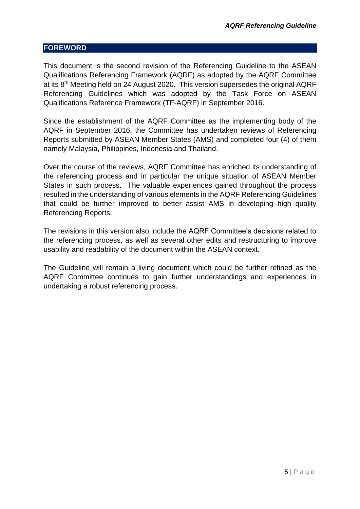#### <span id="page-4-0"></span>**FOREWORD**

This document is the second revision of the Referencing Guideline to the ASEAN Qualifications Referencing Framework (AQRF) as adopted by the AQRF Committee at its 8th Meeting held on 24 August 2020. This version supersedes the original AQRF Referencing Guidelines which was adopted by the Task Force on ASEAN Qualifications Reference Framework (TF-AQRF) in September 2016.

Since the establishment of the AQRF Committee as the implementing body of the AQRF in September 2016, the Committee has undertaken reviews of Referencing Reports submitted by ASEAN Member States (AMS) and completed four (4) of them namely Malaysia, Philippines, Indonesia and Thailand.

Over the course of the reviews, AQRF Committee has enriched its understanding of the referencing process and in particular the unique situation of ASEAN Member States in such process. The valuable experiences gained throughout the process resulted in the understanding of various elements in the AQRF Referencing Guidelines that could be further improved to better assist AMS in developing high quality Referencing Reports.

The revisions in this version also include the AQRF Committee's decisions related to the referencing process, as well as several other edits and restructuring to improve usability and readability of the document within the ASEAN context.

The Guideline will remain a living document which could be further refined as the AQRF Committee continues to gain further understandings and experiences in undertaking a robust referencing process.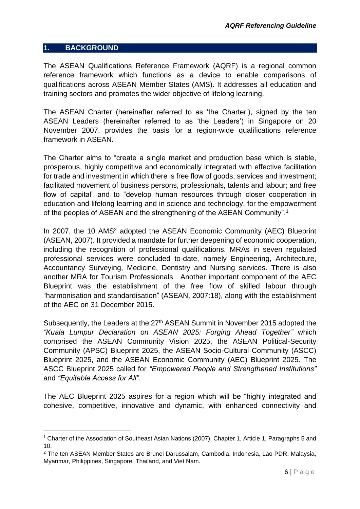#### <span id="page-5-0"></span>**1. BACKGROUND**

1

The ASEAN Qualifications Reference Framework (AQRF) is a regional common reference framework which functions as a device to enable comparisons of qualifications across ASEAN Member States (AMS). It addresses all education and training sectors and promotes the wider objective of lifelong learning.

The ASEAN Charter (hereinafter referred to as 'the Charter'), signed by the ten ASEAN Leaders (hereinafter referred to as 'the Leaders') in Singapore on 20 November 2007, provides the basis for a region-wide qualifications reference framework in ASEAN.

The Charter aims to "create a single market and production base which is stable, prosperous, highly competitive and economically integrated with effective facilitation for trade and investment in which there is free flow of goods, services and investment; facilitated movement of business persons, professionals, talents and labour; and free flow of capital" and to "develop human resources through closer cooperation in education and lifelong learning and in science and technology, for the empowerment of the peoples of ASEAN and the strengthening of the ASEAN Community".<sup>1</sup>

In 2007, the 10 AMS<sup>2</sup> adopted the ASEAN Economic Community (AEC) Blueprint (ASEAN, 2007). It provided a mandate for further deepening of economic cooperation, including the recognition of professional qualifications. MRAs in seven regulated professional services were concluded to-date, namely Engineering, Architecture, Accountancy Surveying, Medicine, Dentistry and Nursing services. There is also another MRA for Tourism Professionals. Another important component of the AEC Blueprint was the establishment of the free flow of skilled labour through "harmonisation and standardisation" (ASEAN, 2007:18), along with the establishment of the AEC on 31 December 2015.

Subsequently, the Leaders at the 27<sup>th</sup> ASEAN Summit in November 2015 adopted the *"Kuala Lumpur Declaration on ASEAN 2025: Forging Ahead Together"* which comprised the ASEAN Community Vision 2025, the ASEAN Political-Security Community (APSC) Blueprint 2025, the ASEAN Socio-Cultural Community (ASCC) Blueprint 2025, and the ASEAN Economic Community (AEC) Blueprint 2025. The ASCC Blueprint 2025 called for *"Empowered People and Strengthened Institutions"* and *"Equitable Access for All"*.

The AEC Blueprint 2025 aspires for a region which will be "highly integrated and cohesive, competitive, innovative and dynamic, with enhanced connectivity and

<sup>1</sup> Charter of the Association of Southeast Asian Nations (2007), Chapter 1, Article 1, Paragraphs 5 and 10.

<sup>2</sup> The ten ASEAN Member States are Brunei Darussalam, Cambodia, Indonesia, Lao PDR, Malaysia, Myanmar, Philippines, Singapore, Thailand, and Viet Nam.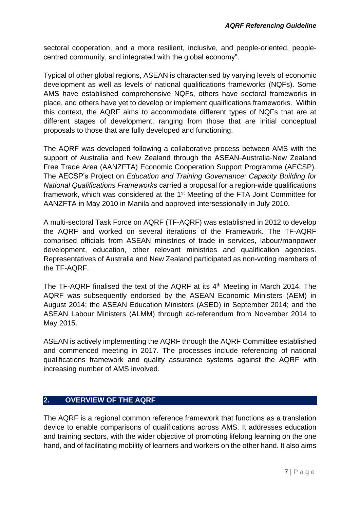sectoral cooperation, and a more resilient, inclusive, and people-oriented, peoplecentred community, and integrated with the global economy".

Typical of other global regions, ASEAN is characterised by varying levels of economic development as well as levels of national qualifications frameworks (NQFs). Some AMS have established comprehensive NQFs, others have sectoral frameworks in place, and others have yet to develop or implement qualifications frameworks. Within this context, the AQRF aims to accommodate different types of NQFs that are at different stages of development, ranging from those that are initial conceptual proposals to those that are fully developed and functioning.

The AQRF was developed following a collaborative process between AMS with the support of Australia and New Zealand through the ASEAN-Australia-New Zealand Free Trade Area (AANZFTA) Economic Cooperation Support Programme (AECSP). The AECSP's Project on *Education and Training Governance: Capacity Building for National Qualifications Frameworks* carried a proposal for a region-wide qualifications framework, which was considered at the 1<sup>st</sup> Meeting of the FTA Joint Committee for AANZFTA in May 2010 in Manila and approved intersessionally in July 2010.

A multi-sectoral Task Force on AQRF (TF-AQRF) was established in 2012 to develop the AQRF and worked on several iterations of the Framework. The TF-AQRF comprised officials from ASEAN ministries of trade in services, labour/manpower development, education, other relevant ministries and qualification agencies. Representatives of Australia and New Zealand participated as non-voting members of the TF-AQRF.

The TF-AQRF finalised the text of the AQRF at its  $4<sup>th</sup>$  Meeting in March 2014. The AQRF was subsequently endorsed by the ASEAN Economic Ministers (AEM) in August 2014; the ASEAN Education Ministers (ASED) in September 2014; and the ASEAN Labour Ministers (ALMM) through ad-referendum from November 2014 to May 2015.

ASEAN is actively implementing the AQRF through the AQRF Committee established and commenced meeting in 2017. The processes include referencing of national qualifications framework and quality assurance systems against the AQRF with increasing number of AMS involved.

# <span id="page-6-0"></span>**2. OVERVIEW OF THE AQRF**

The AQRF is a regional common reference framework that functions as a translation device to enable comparisons of qualifications across AMS. It addresses education and training sectors, with the wider objective of promoting lifelong learning on the one hand, and of facilitating mobility of learners and workers on the other hand. It also aims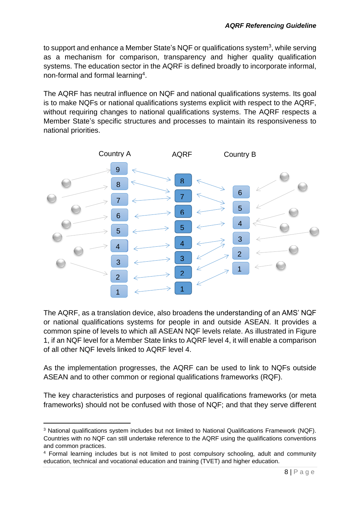to support and enhance a Member State's NQF or qualifications system<sup>3</sup>, while serving as a mechanism for comparison, transparency and higher quality qualification systems. The education sector in the AQRF is defined broadly to incorporate informal, non-formal and formal learning<sup>4</sup> .

The AQRF has neutral influence on NQF and national qualifications systems. Its goal is to make NQFs or national qualifications systems explicit with respect to the AQRF, without requiring changes to national qualifications systems. The AQRF respects a Member State's specific structures and processes to maintain its responsiveness to national priorities.



The AQRF, as a translation device, also broadens the understanding of an AMS' NQF or national qualifications systems for people in and outside ASEAN. It provides a common spine of levels to which all ASEAN NQF levels relate. As illustrated in Figure 1, if an NQF level for a Member State links to AQRF level 4, it will enable a comparison of all other NQF levels linked to AQRF level 4.

As the implementation progresses, the AQRF can be used to link to NQFs outside ASEAN and to other common or regional qualifications frameworks (RQF).

The key characteristics and purposes of regional qualifications frameworks (or meta frameworks) should not be confused with those of NQF; and that they serve different

1

<sup>&</sup>lt;sup>3</sup> National qualifications system includes but not limited to National Qualifications Framework (NQF). Countries with no NQF can still undertake reference to the AQRF using the qualifications conventions and common practices.

<sup>4</sup> Formal learning includes but is not limited to post compulsory schooling, adult and community education, technical and vocational education and training (TVET) and higher education.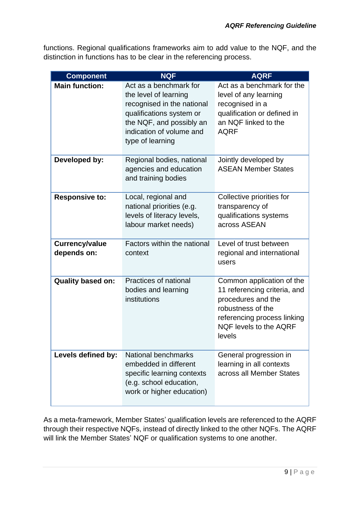functions. Regional qualifications frameworks aim to add value to the NQF, and the distinction in functions has to be clear in the referencing process.

| <b>Component</b>              | <b>NQF</b>                                                                                                                                                                            | <b>AQRF</b>                                                                                                                                                             |
|-------------------------------|---------------------------------------------------------------------------------------------------------------------------------------------------------------------------------------|-------------------------------------------------------------------------------------------------------------------------------------------------------------------------|
| <b>Main function:</b>         | Act as a benchmark for<br>the level of learning<br>recognised in the national<br>qualifications system or<br>the NQF, and possibly an<br>indication of volume and<br>type of learning | Act as a benchmark for the<br>level of any learning<br>recognised in a<br>qualification or defined in<br>an NQF linked to the<br><b>AQRF</b>                            |
| Developed by:                 | Regional bodies, national<br>agencies and education<br>and training bodies                                                                                                            | Jointly developed by<br><b>ASEAN Member States</b>                                                                                                                      |
| <b>Responsive to:</b>         | Local, regional and<br>national priorities (e.g.<br>levels of literacy levels,<br>labour market needs)                                                                                | Collective priorities for<br>transparency of<br>qualifications systems<br>across ASEAN                                                                                  |
| Currency/value<br>depends on: | Factors within the national<br>context                                                                                                                                                | Level of trust between<br>regional and international<br>users                                                                                                           |
| <b>Quality based on:</b>      | Practices of national<br>bodies and learning<br>institutions                                                                                                                          | Common application of the<br>11 referencing criteria, and<br>procedures and the<br>robustness of the<br>referencing process linking<br>NQF levels to the AQRF<br>levels |
| Levels defined by:            | National benchmarks<br>embedded in different<br>specific learning contexts<br>(e.g. school education,<br>work or higher education)                                                    | General progression in<br>learning in all contexts<br>across all Member States                                                                                          |

As a meta-framework, Member States' qualification levels are referenced to the AQRF through their respective NQFs, instead of directly linked to the other NQFs. The AQRF will link the Member States' NQF or qualification systems to one another.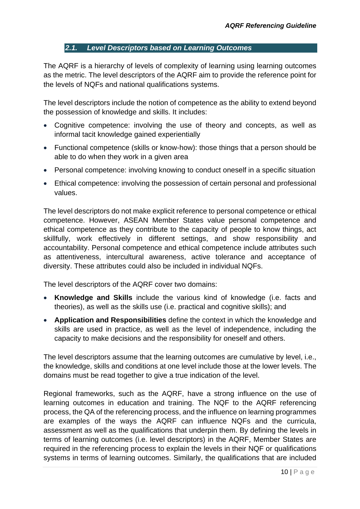#### *2.1. Level Descriptors based on Learning Outcomes*

<span id="page-9-0"></span>The AQRF is a hierarchy of levels of complexity of learning using learning outcomes as the metric. The level descriptors of the AQRF aim to provide the reference point for the levels of NQFs and national qualifications systems.

The level descriptors include the notion of competence as the ability to extend beyond the possession of knowledge and skills. It includes:

- Cognitive competence: involving the use of theory and concepts, as well as informal tacit knowledge gained experientially
- Functional competence (skills or know-how): those things that a person should be able to do when they work in a given area
- Personal competence: involving knowing to conduct oneself in a specific situation
- Ethical competence: involving the possession of certain personal and professional values.

The level descriptors do not make explicit reference to personal competence or ethical competence. However, ASEAN Member States value personal competence and ethical competence as they contribute to the capacity of people to know things, act skillfully, work effectively in different settings, and show responsibility and accountability. Personal competence and ethical competence include attributes such as attentiveness, intercultural awareness, active tolerance and acceptance of diversity. These attributes could also be included in individual NQFs.

The level descriptors of the AQRF cover two domains:

- **Knowledge and Skills** include the various kind of knowledge (i.e. facts and theories), as well as the skills use (i.e. practical and cognitive skills); and
- **Application and Responsibilities** define the context in which the knowledge and skills are used in practice, as well as the level of independence, including the capacity to make decisions and the responsibility for oneself and others.

The level descriptors assume that the learning outcomes are cumulative by level, i.e., the knowledge, skills and conditions at one level include those at the lower levels. The domains must be read together to give a true indication of the level.

Regional frameworks, such as the AQRF, have a strong influence on the use of learning outcomes in education and training. The NQF to the AQRF referencing process, the QA of the referencing process, and the influence on learning programmes are examples of the ways the AQRF can influence NQFs and the curricula, assessment as well as the qualifications that underpin them. By defining the levels in terms of learning outcomes (i.e. level descriptors) in the AQRF, Member States are required in the referencing process to explain the levels in their NQF or qualifications systems in terms of learning outcomes. Similarly, the qualifications that are included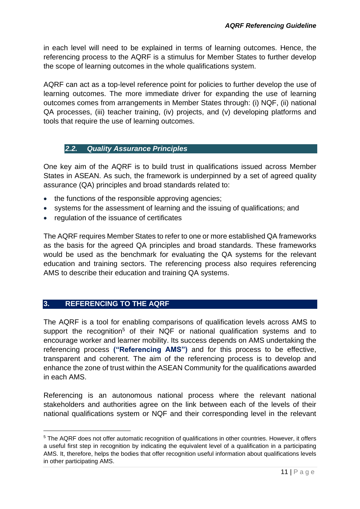in each level will need to be explained in terms of learning outcomes. Hence, the referencing process to the AQRF is a stimulus for Member States to further develop the scope of learning outcomes in the whole qualifications system.

AQRF can act as a top-level reference point for policies to further develop the use of learning outcomes. The more immediate driver for expanding the use of learning outcomes comes from arrangements in Member States through: (i) NQF, (ii) national QA processes, (iii) teacher training, (iv) projects, and (v) developing platforms and tools that require the use of learning outcomes.

#### <span id="page-10-0"></span>*2.2. Quality Assurance Principles*

One key aim of the AQRF is to build trust in qualifications issued across Member States in ASEAN. As such, the framework is underpinned by a set of agreed quality assurance (QA) principles and broad standards related to:

- the functions of the responsible approving agencies;
- systems for the assessment of learning and the issuing of qualifications; and
- regulation of the issuance of certificates

The AQRF requires Member States to refer to one or more established QA frameworks as the basis for the agreed QA principles and broad standards. These frameworks would be used as the benchmark for evaluating the QA systems for the relevant education and training sectors. The referencing process also requires referencing AMS to describe their education and training QA systems.

# <span id="page-10-1"></span>**3. REFERENCING TO THE AQRF**

1

The AQRF is a tool for enabling comparisons of qualification levels across AMS to support the recognition<sup>5</sup> of their NQF or national qualification systems and to encourage worker and learner mobility. Its success depends on AMS undertaking the referencing process **("Referencing AMS")** and for this process to be effective, transparent and coherent. The aim of the referencing process is to develop and enhance the zone of trust within the ASEAN Community for the qualifications awarded in each AMS.

Referencing is an autonomous national process where the relevant national stakeholders and authorities agree on the link between each of the levels of their national qualifications system or NQF and their corresponding level in the relevant

<sup>&</sup>lt;sup>5</sup> The AQRF does not offer automatic recognition of qualifications in other countries. However, it offers a useful first step in recognition by indicating the equivalent level of a qualification in a participating AMS. It, therefore, helps the bodies that offer recognition useful information about qualifications levels in other participating AMS.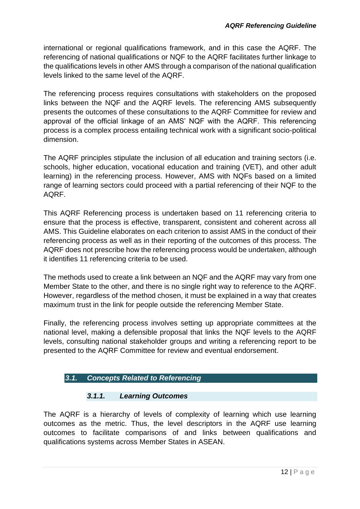international or regional qualifications framework, and in this case the AQRF. The referencing of national qualifications or NQF to the AQRF facilitates further linkage to the qualifications levels in other AMS through a comparison of the national qualification levels linked to the same level of the AQRF.

The referencing process requires consultations with stakeholders on the proposed links between the NQF and the AQRF levels. The referencing AMS subsequently presents the outcomes of these consultations to the AQRF Committee for review and approval of the official linkage of an AMS' NQF with the AQRF. This referencing process is a complex process entailing technical work with a significant socio-political dimension.

The AQRF principles stipulate the inclusion of all education and training sectors (i.e. schools, higher education, vocational education and training (VET), and other adult learning) in the referencing process. However, AMS with NQFs based on a limited range of learning sectors could proceed with a partial referencing of their NQF to the AQRF.

This AQRF Referencing process is undertaken based on 11 referencing criteria to ensure that the process is effective, transparent, consistent and coherent across all AMS. This Guideline elaborates on each criterion to assist AMS in the conduct of their referencing process as well as in their reporting of the outcomes of this process. The AQRF does not prescribe how the referencing process would be undertaken, although it identifies 11 referencing criteria to be used.

The methods used to create a link between an NQF and the AQRF may vary from one Member State to the other, and there is no single right way to reference to the AQRF. However, regardless of the method chosen, it must be explained in a way that creates maximum trust in the link for people outside the referencing Member State.

Finally, the referencing process involves setting up appropriate committees at the national level, making a defensible proposal that links the NQF levels to the AQRF levels, consulting national stakeholder groups and writing a referencing report to be presented to the AQRF Committee for review and eventual endorsement.

# <span id="page-11-0"></span>*3.1. Concepts Related to Referencing*

# *3.1.1. Learning Outcomes*

<span id="page-11-1"></span>The AQRF is a hierarchy of levels of complexity of learning which use learning outcomes as the metric. Thus, the level descriptors in the AQRF use learning outcomes to facilitate comparisons of and links between qualifications and qualifications systems across Member States in ASEAN.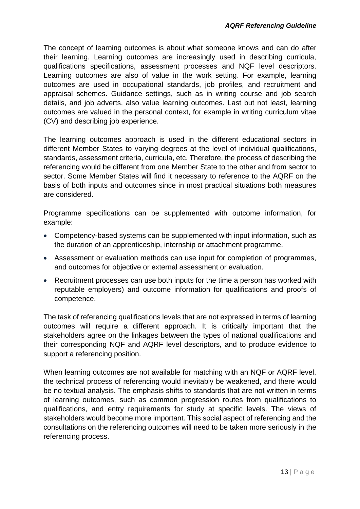The concept of learning outcomes is about what someone knows and can do after their learning. Learning outcomes are increasingly used in describing curricula, qualifications specifications, assessment processes and NQF level descriptors. Learning outcomes are also of value in the work setting. For example, learning outcomes are used in occupational standards, job profiles, and recruitment and appraisal schemes. Guidance settings, such as in writing course and job search details, and job adverts, also value learning outcomes. Last but not least, learning outcomes are valued in the personal context, for example in writing curriculum vitae (CV) and describing job experience.

The learning outcomes approach is used in the different educational sectors in different Member States to varying degrees at the level of individual qualifications, standards, assessment criteria, curricula, etc. Therefore, the process of describing the referencing would be different from one Member State to the other and from sector to sector. Some Member States will find it necessary to reference to the AQRF on the basis of both inputs and outcomes since in most practical situations both measures are considered.

Programme specifications can be supplemented with outcome information, for example:

- Competency-based systems can be supplemented with input information, such as the duration of an apprenticeship, internship or attachment programme.
- Assessment or evaluation methods can use input for completion of programmes, and outcomes for objective or external assessment or evaluation.
- Recruitment processes can use both inputs for the time a person has worked with reputable employers) and outcome information for qualifications and proofs of competence.

The task of referencing qualifications levels that are not expressed in terms of learning outcomes will require a different approach. It is critically important that the stakeholders agree on the linkages between the types of national qualifications and their corresponding NQF and AQRF level descriptors, and to produce evidence to support a referencing position.

When learning outcomes are not available for matching with an NQF or AQRF level, the technical process of referencing would inevitably be weakened, and there would be no textual analysis. The emphasis shifts to standards that are not written in terms of learning outcomes, such as common progression routes from qualifications to qualifications, and entry requirements for study at specific levels. The views of stakeholders would become more important. This social aspect of referencing and the consultations on the referencing outcomes will need to be taken more seriously in the referencing process.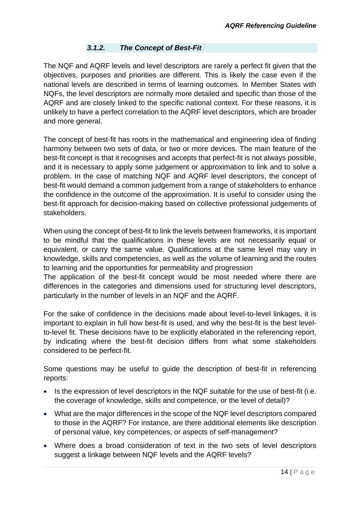# *3.1.2. The Concept of Best-Fit*

<span id="page-13-0"></span>The NQF and AQRF levels and level descriptors are rarely a perfect fit given that the objectives, purposes and priorities are different. This is likely the case even if the national levels are described in terms of learning outcomes. In Member States with NQFs, the level descriptors are normally more detailed and specific than those of the AQRF and are closely linked to the specific national context. For these reasons, it is unlikely to have a perfect correlation to the AQRF level descriptors, which are broader and more general.

The concept of best-fit has roots in the mathematical and engineering idea of finding harmony between two sets of data, or two or more devices. The main feature of the best-fit concept is that it recognises and accepts that perfect-fit is not always possible, and it is necessary to apply some judgement or approximation to link and to solve a problem. In the case of matching NQF and AQRF level descriptors, the concept of best-fit would demand a common judgement from a range of stakeholders to enhance the confidence in the outcome of the approximation. It is useful to consider using the best-fit approach for decision-making based on collective professional judgements of stakeholders.

When using the concept of best-fit to link the levels between frameworks, it is important to be mindful that the qualifications in these levels are not necessarily equal or equivalent, or carry the same value. Qualifications at the same level may vary in knowledge, skills and competencies, as well as the volume of learning and the routes to learning and the opportunities for permeability and progression

The application of the best-fit concept would be most needed where there are differences in the categories and dimensions used for structuring level descriptors, particularly in the number of levels in an NQF and the AQRF.

For the sake of confidence in the decisions made about level-to-level linkages, it is important to explain in full how best-fit is used, and why the best-fit is the best levelto-level fit. These decisions have to be explicitly elaborated in the referencing report, by indicating where the best-fit decision differs from what some stakeholders considered to be perfect-fit.

Some questions may be useful to guide the description of best-fit in referencing reports:

- Is the expression of level descriptors in the NQF suitable for the use of best-fit (i.e. the coverage of knowledge, skills and competence, or the level of detail)?
- What are the major differences in the scope of the NQF level descriptors compared to those in the AQRF? For instance, are there additional elements like description of personal value, key competences, or aspects of self-management?
- Where does a broad consideration of text in the two sets of level descriptors suggest a linkage between NQF levels and the AQRF levels?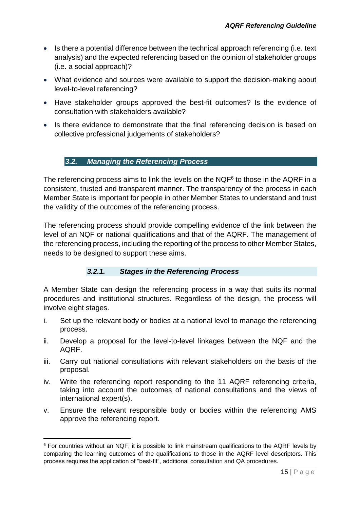- Is there a potential difference between the technical approach referencing (i.e. text analysis) and the expected referencing based on the opinion of stakeholder groups (i.e. a social approach)?
- What evidence and sources were available to support the decision-making about level-to-level referencing?
- Have stakeholder groups approved the best-fit outcomes? Is the evidence of consultation with stakeholders available?
- <span id="page-14-0"></span>• Is there evidence to demonstrate that the final referencing decision is based on collective professional judgements of stakeholders?

# *3.2. Managing the Referencing Process*

The referencing process aims to link the levels on the  $NQF<sup>6</sup>$  to those in the AQRF in a consistent, trusted and transparent manner. The transparency of the process in each Member State is important for people in other Member States to understand and trust the validity of the outcomes of the referencing process.

The referencing process should provide compelling evidence of the link between the level of an NQF or national qualifications and that of the AQRF. The management of the referencing process, including the reporting of the process to other Member States, needs to be designed to support these aims.

# *3.2.1. Stages in the Referencing Process*

<span id="page-14-1"></span>A Member State can design the referencing process in a way that suits its normal procedures and institutional structures. Regardless of the design, the process will involve eight stages.

- i. Set up the relevant body or bodies at a national level to manage the referencing process.
- ii. Develop a proposal for the level-to-level linkages between the NQF and the AQRF.
- iii. Carry out national consultations with relevant stakeholders on the basis of the proposal.
- iv. Write the referencing report responding to the 11 AQRF referencing criteria, taking into account the outcomes of national consultations and the views of international expert(s).
- v. Ensure the relevant responsible body or bodies within the referencing AMS approve the referencing report.

1

<sup>6</sup> For countries without an NQF, it is possible to link mainstream qualifications to the AQRF levels by comparing the learning outcomes of the qualifications to those in the AQRF level descriptors. This process requires the application of "best-fit", additional consultation and QA procedures.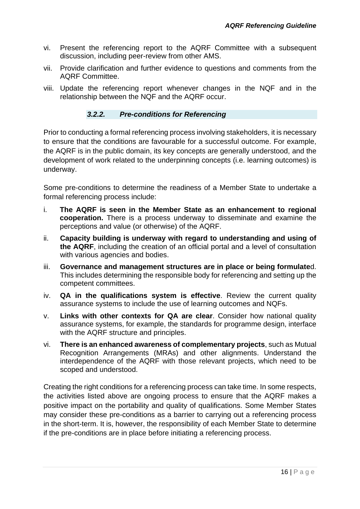- vi. Present the referencing report to the AQRF Committee with a subsequent discussion, including peer-review from other AMS.
- vii. Provide clarification and further evidence to questions and comments from the AQRF Committee.
- viii. Update the referencing report whenever changes in the NQF and in the relationship between the NQF and the AQRF occur.

#### *3.2.2. Pre-conditions for Referencing*

<span id="page-15-0"></span>Prior to conducting a formal referencing process involving stakeholders, it is necessary to ensure that the conditions are favourable for a successful outcome. For example, the AQRF is in the public domain, its key concepts are generally understood, and the development of work related to the underpinning concepts (i.e. learning outcomes) is underway.

Some pre-conditions to determine the readiness of a Member State to undertake a formal referencing process include:

- i. **The AQRF is seen in the Member State as an enhancement to regional cooperation.** There is a process underway to disseminate and examine the perceptions and value (or otherwise) of the AQRF.
- ii. **Capacity building is underway with regard to understanding and using of the AQRF**, including the creation of an official portal and a level of consultation with various agencies and bodies.
- iii. **Governance and management structures are in place or being formulate**d. This includes determining the responsible body for referencing and setting up the competent committees.
- iv. **QA in the qualifications system is effective**. Review the current quality assurance systems to include the use of learning outcomes and NQFs.
- v. **Links with other contexts for QA are clear**. Consider how national quality assurance systems, for example, the standards for programme design, interface with the AQRF structure and principles.
- vi. **There is an enhanced awareness of complementary projects**, such as Mutual Recognition Arrangements (MRAs) and other alignments. Understand the interdependence of the AQRF with those relevant projects, which need to be scoped and understood.

Creating the right conditions for a referencing process can take time. In some respects, the activities listed above are ongoing process to ensure that the AQRF makes a positive impact on the portability and quality of qualifications. Some Member States may consider these pre-conditions as a barrier to carrying out a referencing process in the short-term. It is, however, the responsibility of each Member State to determine if the pre-conditions are in place before initiating a referencing process.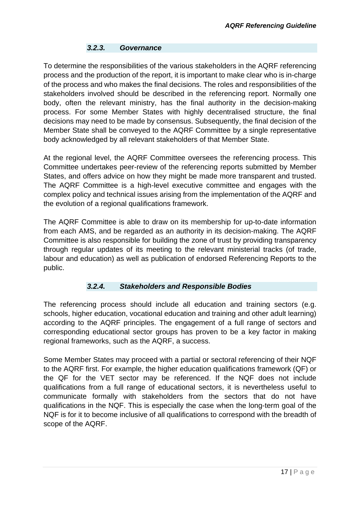#### *3.2.3. Governance*

<span id="page-16-0"></span>To determine the responsibilities of the various stakeholders in the AQRF referencing process and the production of the report, it is important to make clear who is in-charge of the process and who makes the final decisions. The roles and responsibilities of the stakeholders involved should be described in the referencing report. Normally one body, often the relevant ministry, has the final authority in the decision-making process. For some Member States with highly decentralised structure, the final decisions may need to be made by consensus. Subsequently, the final decision of the Member State shall be conveyed to the AQRF Committee by a single representative body acknowledged by all relevant stakeholders of that Member State.

At the regional level, the AQRF Committee oversees the referencing process. This Committee undertakes peer-review of the referencing reports submitted by Member States, and offers advice on how they might be made more transparent and trusted. The AQRF Committee is a high-level executive committee and engages with the complex policy and technical issues arising from the implementation of the AQRF and the evolution of a regional qualifications framework.

The AQRF Committee is able to draw on its membership for up-to-date information from each AMS, and be regarded as an authority in its decision-making. The AQRF Committee is also responsible for building the zone of trust by providing transparency through regular updates of its meeting to the relevant ministerial tracks (of trade, labour and education) as well as publication of endorsed Referencing Reports to the public.

#### *3.2.4. Stakeholders and Responsible Bodies*

<span id="page-16-1"></span>The referencing process should include all education and training sectors (e.g. schools, higher education, vocational education and training and other adult learning) according to the AQRF principles. The engagement of a full range of sectors and corresponding educational sector groups has proven to be a key factor in making regional frameworks, such as the AQRF, a success.

Some Member States may proceed with a partial or sectoral referencing of their NQF to the AQRF first. For example, the higher education qualifications framework (QF) or the QF for the VET sector may be referenced. If the NQF does not include qualifications from a full range of educational sectors, it is nevertheless useful to communicate formally with stakeholders from the sectors that do not have qualifications in the NQF. This is especially the case when the long-term goal of the NQF is for it to become inclusive of all qualifications to correspond with the breadth of scope of the AQRF.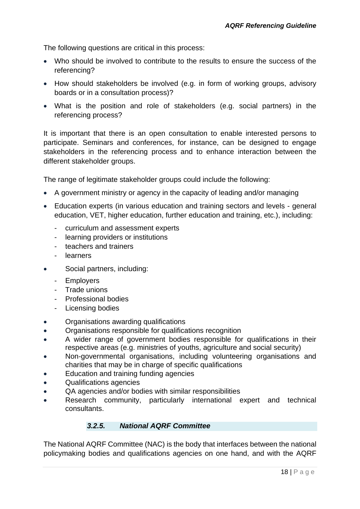The following questions are critical in this process:

- Who should be involved to contribute to the results to ensure the success of the referencing?
- How should stakeholders be involved (e.g. in form of working groups, advisory boards or in a consultation process)?
- What is the position and role of stakeholders (e.g. social partners) in the referencing process?

It is important that there is an open consultation to enable interested persons to participate. Seminars and conferences, for instance, can be designed to engage stakeholders in the referencing process and to enhance interaction between the different stakeholder groups.

The range of legitimate stakeholder groups could include the following:

- A government ministry or agency in the capacity of leading and/or managing
- Education experts (in various education and training sectors and levels general education, VET, higher education, further education and training, etc.), including:
	- curriculum and assessment experts
	- learning providers or institutions
	- teachers and trainers
	- learners
- Social partners, including:
	- Employers
	- Trade unions
	- Professional bodies
	- Licensing bodies
- Organisations awarding qualifications
- Organisations responsible for qualifications recognition
- A wider range of government bodies responsible for qualifications in their respective areas (e.g. ministries of youths, agriculture and social security)
- Non-governmental organisations, including volunteering organisations and charities that may be in charge of specific qualifications
- Education and training funding agencies
- Qualifications agencies
- QA agencies and/or bodies with similar responsibilities
- Research community, particularly international expert and technical consultants.

#### *3.2.5. National AQRF Committee*

<span id="page-17-0"></span>The National AQRF Committee (NAC) is the body that interfaces between the national policymaking bodies and qualifications agencies on one hand, and with the AQRF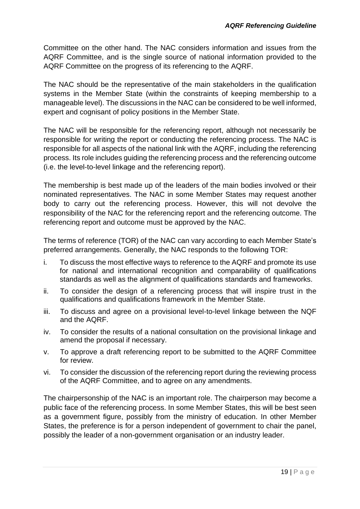Committee on the other hand. The NAC considers information and issues from the AQRF Committee, and is the single source of national information provided to the AQRF Committee on the progress of its referencing to the AQRF.

The NAC should be the representative of the main stakeholders in the qualification systems in the Member State (within the constraints of keeping membership to a manageable level). The discussions in the NAC can be considered to be well informed, expert and cognisant of policy positions in the Member State.

The NAC will be responsible for the referencing report, although not necessarily be responsible for writing the report or conducting the referencing process. The NAC is responsible for all aspects of the national link with the AQRF, including the referencing process. Its role includes guiding the referencing process and the referencing outcome (i.e. the level-to-level linkage and the referencing report).

The membership is best made up of the leaders of the main bodies involved or their nominated representatives. The NAC in some Member States may request another body to carry out the referencing process. However, this will not devolve the responsibility of the NAC for the referencing report and the referencing outcome. The referencing report and outcome must be approved by the NAC.

The terms of reference (TOR) of the NAC can vary according to each Member State's preferred arrangements. Generally, the NAC responds to the following TOR:

- i. To discuss the most effective ways to reference to the AQRF and promote its use for national and international recognition and comparability of qualifications standards as well as the alignment of qualifications standards and frameworks.
- ii. To consider the design of a referencing process that will inspire trust in the qualifications and qualifications framework in the Member State.
- iii. To discuss and agree on a provisional level-to-level linkage between the NQF and the AQRF.
- iv. To consider the results of a national consultation on the provisional linkage and amend the proposal if necessary.
- v. To approve a draft referencing report to be submitted to the AQRF Committee for review.
- vi. To consider the discussion of the referencing report during the reviewing process of the AQRF Committee, and to agree on any amendments.

The chairpersonship of the NAC is an important role. The chairperson may become a public face of the referencing process. In some Member States, this will be best seen as a government figure, possibly from the ministry of education. In other Member States, the preference is for a person independent of government to chair the panel, possibly the leader of a non-government organisation or an industry leader.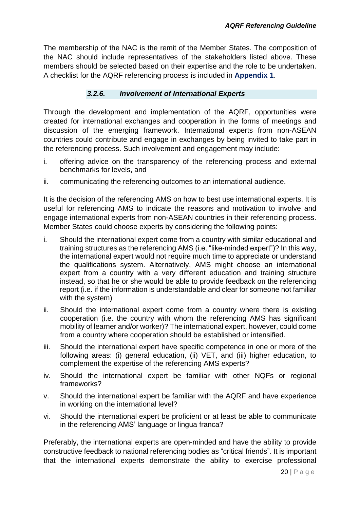The membership of the NAC is the remit of the Member States. The composition of the NAC should include representatives of the stakeholders listed above. These members should be selected based on their expertise and the role to be undertaken. A checklist for the AQRF referencing process is included in **Appendix 1**.

#### *3.2.6. Involvement of International Experts*

<span id="page-19-0"></span>Through the development and implementation of the AQRF, opportunities were created for international exchanges and cooperation in the forms of meetings and discussion of the emerging framework. International experts from non-ASEAN countries could contribute and engage in exchanges by being invited to take part in the referencing process. Such involvement and engagement may include:

- i. offering advice on the transparency of the referencing process and external benchmarks for levels, and
- ii. communicating the referencing outcomes to an international audience.

It is the decision of the referencing AMS on how to best use international experts. It is useful for referencing AMS to indicate the reasons and motivation to involve and engage international experts from non-ASEAN countries in their referencing process. Member States could choose experts by considering the following points:

- i. Should the international expert come from a country with similar educational and training structures as the referencing AMS (i.e. "like-minded expert")? In this way, the international expert would not require much time to appreciate or understand the qualifications system. Alternatively, AMS might choose an international expert from a country with a very different education and training structure instead, so that he or she would be able to provide feedback on the referencing report (i.e. if the information is understandable and clear for someone not familiar with the system)
- ii. Should the international expert come from a country where there is existing cooperation (i.e. the country with whom the referencing AMS has significant mobility of learner and/or worker)? The international expert, however, could come from a country where cooperation should be established or intensified.
- iii. Should the international expert have specific competence in one or more of the following areas: (i) general education, (ii) VET, and (iii) higher education, to complement the expertise of the referencing AMS experts?
- iv. Should the international expert be familiar with other NQFs or regional frameworks?
- v. Should the international expert be familiar with the AQRF and have experience in working on the international level?
- vi. Should the international expert be proficient or at least be able to communicate in the referencing AMS' language or lingua franca?

Preferably, the international experts are open-minded and have the ability to provide constructive feedback to national referencing bodies as "critical friends". It is important that the international experts demonstrate the ability to exercise professional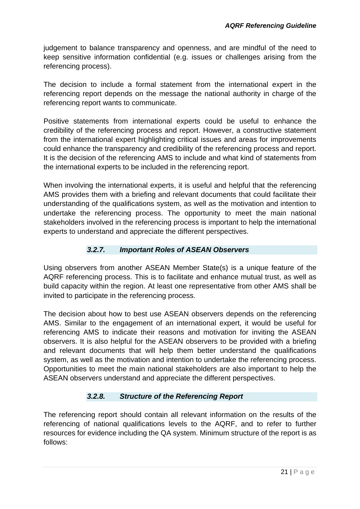judgement to balance transparency and openness, and are mindful of the need to keep sensitive information confidential (e.g. issues or challenges arising from the referencing process).

The decision to include a formal statement from the international expert in the referencing report depends on the message the national authority in charge of the referencing report wants to communicate.

Positive statements from international experts could be useful to enhance the credibility of the referencing process and report. However, a constructive statement from the international expert highlighting critical issues and areas for improvements could enhance the transparency and credibility of the referencing process and report. It is the decision of the referencing AMS to include and what kind of statements from the international experts to be included in the referencing report.

When involving the international experts, it is useful and helpful that the referencing AMS provides them with a briefing and relevant documents that could facilitate their understanding of the qualifications system, as well as the motivation and intention to undertake the referencing process. The opportunity to meet the main national stakeholders involved in the referencing process is important to help the international experts to understand and appreciate the different perspectives.

# *3.2.7. Important Roles of ASEAN Observers*

<span id="page-20-0"></span>Using observers from another ASEAN Member State(s) is a unique feature of the AQRF referencing process. This is to facilitate and enhance mutual trust, as well as build capacity within the region. At least one representative from other AMS shall be invited to participate in the referencing process.

The decision about how to best use ASEAN observers depends on the referencing AMS. Similar to the engagement of an international expert, it would be useful for referencing AMS to indicate their reasons and motivation for inviting the ASEAN observers. It is also helpful for the ASEAN observers to be provided with a briefing and relevant documents that will help them better understand the qualifications system, as well as the motivation and intention to undertake the referencing process. Opportunities to meet the main national stakeholders are also important to help the ASEAN observers understand and appreciate the different perspectives.

# *3.2.8. Structure of the Referencing Report*

<span id="page-20-1"></span>The referencing report should contain all relevant information on the results of the referencing of national qualifications levels to the AQRF, and to refer to further resources for evidence including the QA system. Minimum structure of the report is as follows: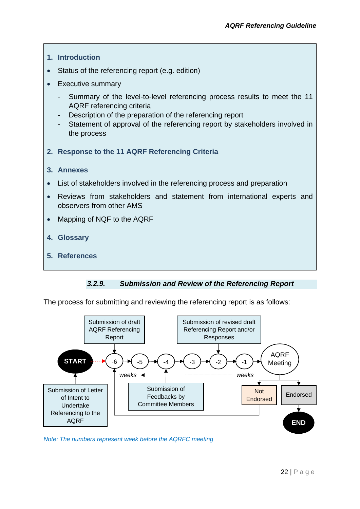

#### *3.2.9. Submission and Review of the Referencing Report*

<span id="page-21-0"></span>The process for submitting and reviewing the referencing report is as follows:



*Note: The numbers represent week before the AQRFC meeting*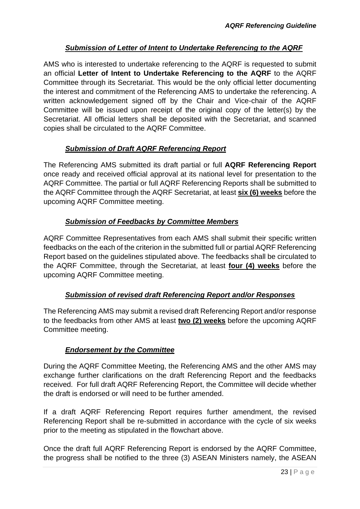# *Submission of Letter of Intent to Undertake Referencing to the AQRF*

AMS who is interested to undertake referencing to the AQRF is requested to submit an official **Letter of Intent to Undertake Referencing to the AQRF** to the AQRF Committee through its Secretariat. This would be the only official letter documenting the interest and commitment of the Referencing AMS to undertake the referencing. A written acknowledgement signed off by the Chair and Vice-chair of the AQRF Committee will be issued upon receipt of the original copy of the letter(s) by the Secretariat. All official letters shall be deposited with the Secretariat, and scanned copies shall be circulated to the AQRF Committee.

# *Submission of Draft AQRF Referencing Report*

The Referencing AMS submitted its draft partial or full **AQRF Referencing Report**  once ready and received official approval at its national level for presentation to the AQRF Committee. The partial or full AQRF Referencing Reports shall be submitted to the AQRF Committee through the AQRF Secretariat, at least **six (6) weeks** before the upcoming AQRF Committee meeting.

# *Submission of Feedbacks by Committee Members*

AQRF Committee Representatives from each AMS shall submit their specific written feedbacks on the each of the criterion in the submitted full or partial AQRF Referencing Report based on the guidelines stipulated above. The feedbacks shall be circulated to the AQRF Committee, through the Secretariat, at least **four (4) weeks** before the upcoming AQRF Committee meeting.

# *Submission of revised draft Referencing Report and/or Responses*

The Referencing AMS may submit a revised draft Referencing Report and/or response to the feedbacks from other AMS at least **two (2) weeks** before the upcoming AQRF Committee meeting.

# *Endorsement by the Committee*

During the AQRF Committee Meeting, the Referencing AMS and the other AMS may exchange further clarifications on the draft Referencing Report and the feedbacks received. For full draft AQRF Referencing Report, the Committee will decide whether the draft is endorsed or will need to be further amended.

If a draft AQRF Referencing Report requires further amendment, the revised Referencing Report shall be re-submitted in accordance with the cycle of six weeks prior to the meeting as stipulated in the flowchart above.

Once the draft full AQRF Referencing Report is endorsed by the AQRF Committee, the progress shall be notified to the three (3) ASEAN Ministers namely, the ASEAN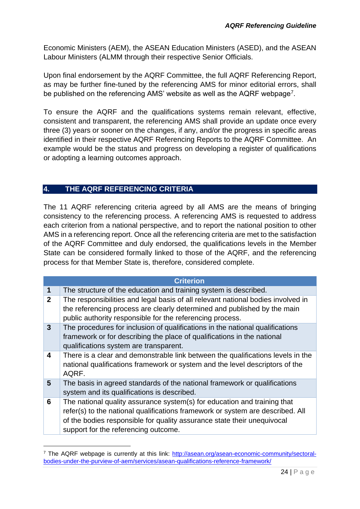Economic Ministers (AEM), the ASEAN Education Ministers (ASED), and the ASEAN Labour Ministers (ALMM through their respective Senior Officials.

Upon final endorsement by the AQRF Committee, the full AQRF Referencing Report, as may be further fine-tuned by the referencing AMS for minor editorial errors, shall be published on the referencing AMS' website as well as the AQRF webpage<sup>7</sup>.

To ensure the AQRF and the qualifications systems remain relevant, effective, consistent and transparent, the referencing AMS shall provide an update once every three (3) years or sooner on the changes, if any, and/or the progress in specific areas identified in their respective AQRF Referencing Reports to the AQRF Committee. An example would be the status and progress on developing a register of qualifications or adopting a learning outcomes approach.

# <span id="page-23-0"></span>**4. THE AQRF REFERENCING CRITERIA**

1

The 11 AQRF referencing criteria agreed by all AMS are the means of bringing consistency to the referencing process. A referencing AMS is requested to address each criterion from a national perspective, and to report the national position to other AMS in a referencing report. Once all the referencing criteria are met to the satisfaction of the AQRF Committee and duly endorsed, the qualifications levels in the Member State can be considered formally linked to those of the AQRF, and the referencing process for that Member State is, therefore, considered complete.

|                         | <b>Criterion</b>                                                                                                                                                                                                                                                              |
|-------------------------|-------------------------------------------------------------------------------------------------------------------------------------------------------------------------------------------------------------------------------------------------------------------------------|
| 1                       | The structure of the education and training system is described.                                                                                                                                                                                                              |
| $\overline{2}$          | The responsibilities and legal basis of all relevant national bodies involved in<br>the referencing process are clearly determined and published by the main<br>public authority responsible for the referencing process.                                                     |
| 3 <sup>5</sup>          | The procedures for inclusion of qualifications in the national qualifications<br>framework or for describing the place of qualifications in the national<br>qualifications system are transparent.                                                                            |
| $\overline{\mathbf{4}}$ | There is a clear and demonstrable link between the qualifications levels in the<br>national qualifications framework or system and the level descriptors of the<br>AQRF.                                                                                                      |
| 5                       | The basis in agreed standards of the national framework or qualifications<br>system and its qualifications is described.                                                                                                                                                      |
| 6                       | The national quality assurance system(s) for education and training that<br>refer(s) to the national qualifications framework or system are described. All<br>of the bodies responsible for quality assurance state their unequivocal<br>support for the referencing outcome. |

<sup>&</sup>lt;sup>7</sup> The AQRF webpage is currently at this link: [http://asean.org/asean-economic-community/sectoral](http://asean.org/asean-economic-community/sectoral-bodies-under-the-purview-of-aem/services/asean-qualifications-reference-framework/)[bodies-under-the-purview-of-aem/services/asean-qualifications-reference-framework/](http://asean.org/asean-economic-community/sectoral-bodies-under-the-purview-of-aem/services/asean-qualifications-reference-framework/)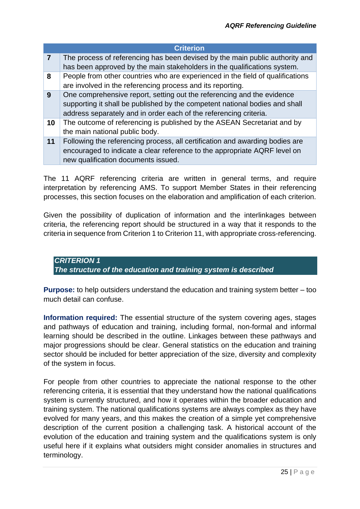|                | <b>Criterion</b>                                                               |
|----------------|--------------------------------------------------------------------------------|
| $\overline{7}$ | The process of referencing has been devised by the main public authority and   |
|                | has been approved by the main stakeholders in the qualifications system.       |
| 8              | People from other countries who are experienced in the field of qualifications |
|                | are involved in the referencing process and its reporting.                     |
| 9              | One comprehensive report, setting out the referencing and the evidence         |
|                | supporting it shall be published by the competent national bodies and shall    |
|                | address separately and in order each of the referencing criteria.              |
| 10             | The outcome of referencing is published by the ASEAN Secretariat and by        |
|                | the main national public body.                                                 |
| 11             | Following the referencing process, all certification and awarding bodies are   |
|                | encouraged to indicate a clear reference to the appropriate AQRF level on      |
|                | new qualification documents issued.                                            |

The 11 AQRF referencing criteria are written in general terms, and require interpretation by referencing AMS. To support Member States in their referencing processes, this section focuses on the elaboration and amplification of each criterion.

Given the possibility of duplication of information and the interlinkages between criteria, the referencing report should be structured in a way that it responds to the criteria in sequence from Criterion 1 to Criterion 11, with appropriate cross-referencing.

<span id="page-24-0"></span>*CRITERION 1 The structure of the education and training system is described*

**Purpose:** to help outsiders understand the education and training system better – too much detail can confuse.

**Information required:** The essential structure of the system covering ages, stages and pathways of education and training, including formal, non-formal and informal learning should be described in the outline. Linkages between these pathways and major progressions should be clear. General statistics on the education and training sector should be included for better appreciation of the size, diversity and complexity of the system in focus.

For people from other countries to appreciate the national response to the other referencing criteria, it is essential that they understand how the national qualifications system is currently structured, and how it operates within the broader education and training system. The national qualifications systems are always complex as they have evolved for many years, and this makes the creation of a simple yet comprehensive description of the current position a challenging task. A historical account of the evolution of the education and training system and the qualifications system is only useful here if it explains what outsiders might consider anomalies in structures and terminology.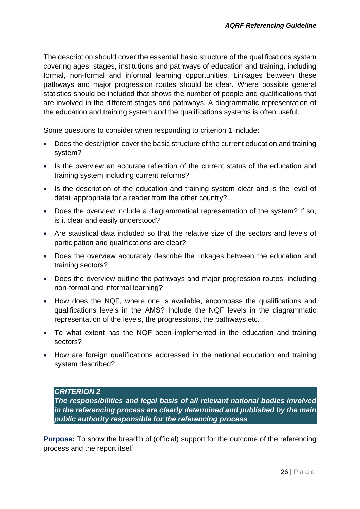The description should cover the essential basic structure of the qualifications system covering ages, stages, institutions and pathways of education and training, including formal, non-formal and informal learning opportunities. Linkages between these pathways and major progression routes should be clear. Where possible general statistics should be included that shows the number of people and qualifications that are involved in the different stages and pathways. A diagrammatic representation of the education and training system and the qualifications systems is often useful.

Some questions to consider when responding to criterion 1 include:

- Does the description cover the basic structure of the current education and training system?
- Is the overview an accurate reflection of the current status of the education and training system including current reforms?
- Is the description of the education and training system clear and is the level of detail appropriate for a reader from the other country?
- Does the overview include a diagrammatical representation of the system? If so, is it clear and easily understood?
- Are statistical data included so that the relative size of the sectors and levels of participation and qualifications are clear?
- Does the overview accurately describe the linkages between the education and training sectors?
- Does the overview outline the pathways and major progression routes, including non-formal and informal learning?
- How does the NQF, where one is available, encompass the qualifications and qualifications levels in the AMS? Include the NQF levels in the diagrammatic representation of the levels, the progressions, the pathways etc.
- To what extent has the NQF been implemented in the education and training sectors?
- <span id="page-25-0"></span>• How are foreign qualifications addressed in the national education and training system described?

#### *CRITERION 2*

*The responsibilities and legal basis of all relevant national bodies involved in the referencing process are clearly determined and published by the main public authority responsible for the referencing process*

**Purpose:** To show the breadth of (official) support for the outcome of the referencing process and the report itself.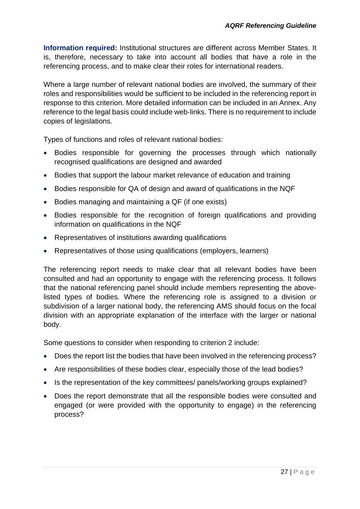**Information required:** Institutional structures are different across Member States. It is, therefore, necessary to take into account all bodies that have a role in the referencing process, and to make clear their roles for international readers.

Where a large number of relevant national bodies are involved, the summary of their roles and responsibilities would be sufficient to be included in the referencing report in response to this criterion. More detailed information can be included in an Annex. Any reference to the legal basis could include web-links. There is no requirement to include copies of legislations.

Types of functions and roles of relevant national bodies:

- Bodies responsible for governing the processes through which nationally recognised qualifications are designed and awarded
- Bodies that support the labour market relevance of education and training
- Bodies responsible for QA of design and award of qualifications in the NQF
- Bodies managing and maintaining a QF (if one exists)
- Bodies responsible for the recognition of foreign qualifications and providing information on qualifications in the NQF
- Representatives of institutions awarding qualifications
- Representatives of those using qualifications (employers, learners)

The referencing report needs to make clear that all relevant bodies have been consulted and had an opportunity to engage with the referencing process. It follows that the national referencing panel should include members representing the abovelisted types of bodies. Where the referencing role is assigned to a division or subdivision of a larger national body, the referencing AMS should focus on the focal division with an appropriate explanation of the interface with the larger or national body.

Some questions to consider when responding to criterion 2 include:

- Does the report list the bodies that have been involved in the referencing process?
- Are responsibilities of these bodies clear, especially those of the lead bodies?
- Is the representation of the key committees/ panels/working groups explained?
- Does the report demonstrate that all the responsible bodies were consulted and engaged (or were provided with the opportunity to engage) in the referencing process?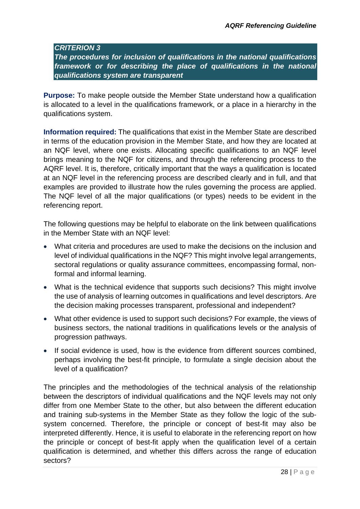#### <span id="page-27-0"></span>*CRITERION 3*

*The procedures for inclusion of qualifications in the national qualifications framework or for describing the place of qualifications in the national qualifications system are transparent*

**Purpose:** To make people outside the Member State understand how a qualification is allocated to a level in the qualifications framework, or a place in a hierarchy in the qualifications system.

**Information required:** The qualifications that exist in the Member State are described in terms of the education provision in the Member State, and how they are located at an NQF level, where one exists. Allocating specific qualifications to an NQF level brings meaning to the NQF for citizens, and through the referencing process to the AQRF level. It is, therefore, critically important that the ways a qualification is located at an NQF level in the referencing process are described clearly and in full, and that examples are provided to illustrate how the rules governing the process are applied. The NQF level of all the major qualifications (or types) needs to be evident in the referencing report.

The following questions may be helpful to elaborate on the link between qualifications in the Member State with an NQF level:

- What criteria and procedures are used to make the decisions on the inclusion and level of individual qualifications in the NQF? This might involve legal arrangements, sectoral regulations or quality assurance committees, encompassing formal, nonformal and informal learning.
- What is the technical evidence that supports such decisions? This might involve the use of analysis of learning outcomes in qualifications and level descriptors. Are the decision making processes transparent, professional and independent?
- What other evidence is used to support such decisions? For example, the views of business sectors, the national traditions in qualifications levels or the analysis of progression pathways.
- If social evidence is used, how is the evidence from different sources combined, perhaps involving the best-fit principle, to formulate a single decision about the level of a qualification?

The principles and the methodologies of the technical analysis of the relationship between the descriptors of individual qualifications and the NQF levels may not only differ from one Member State to the other, but also between the different education and training sub-systems in the Member State as they follow the logic of the subsystem concerned. Therefore, the principle or concept of best-fit may also be interpreted differently. Hence, it is useful to elaborate in the referencing report on how the principle or concept of best-fit apply when the qualification level of a certain qualification is determined, and whether this differs across the range of education sectors?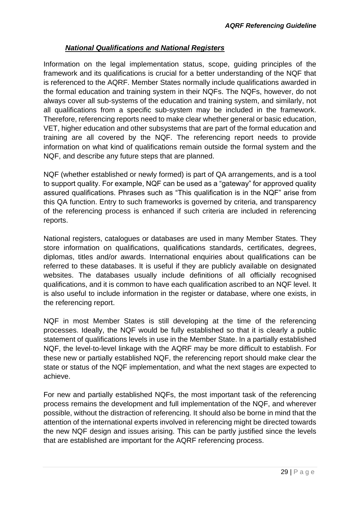# *National Qualifications and National Registers*

Information on the legal implementation status, scope, guiding principles of the framework and its qualifications is crucial for a better understanding of the NQF that is referenced to the AQRF. Member States normally include qualifications awarded in the formal education and training system in their NQFs. The NQFs, however, do not always cover all sub-systems of the education and training system, and similarly, not all qualifications from a specific sub-system may be included in the framework. Therefore, referencing reports need to make clear whether general or basic education, VET, higher education and other subsystems that are part of the formal education and training are all covered by the NQF. The referencing report needs to provide information on what kind of qualifications remain outside the formal system and the NQF, and describe any future steps that are planned.

NQF (whether established or newly formed) is part of QA arrangements, and is a tool to support quality. For example, NQF can be used as a "gateway" for approved quality assured qualifications. Phrases such as "This qualification is in the NQF" arise from this QA function. Entry to such frameworks is governed by criteria, and transparency of the referencing process is enhanced if such criteria are included in referencing reports.

National registers, catalogues or databases are used in many Member States. They store information on qualifications, qualifications standards, certificates, degrees, diplomas, titles and/or awards. International enquiries about qualifications can be referred to these databases. It is useful if they are publicly available on designated websites. The databases usually include definitions of all officially recognised qualifications, and it is common to have each qualification ascribed to an NQF level. It is also useful to include information in the register or database, where one exists, in the referencing report.

NQF in most Member States is still developing at the time of the referencing processes. Ideally, the NQF would be fully established so that it is clearly a public statement of qualifications levels in use in the Member State. In a partially established NQF, the level-to-level linkage with the AQRF may be more difficult to establish. For these new or partially established NQF, the referencing report should make clear the state or status of the NQF implementation, and what the next stages are expected to achieve.

For new and partially established NQFs, the most important task of the referencing process remains the development and full implementation of the NQF, and wherever possible, without the distraction of referencing. It should also be borne in mind that the attention of the international experts involved in referencing might be directed towards the new NQF design and issues arising. This can be partly justified since the levels that are established are important for the AQRF referencing process.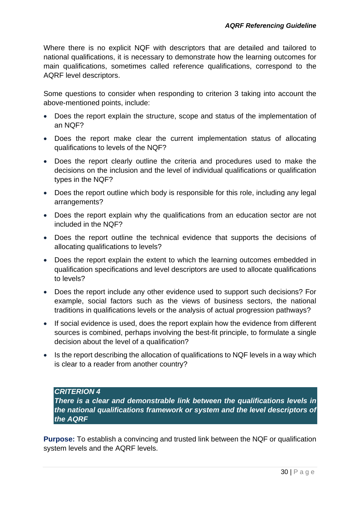Where there is no explicit NQF with descriptors that are detailed and tailored to national qualifications, it is necessary to demonstrate how the learning outcomes for main qualifications, sometimes called reference qualifications, correspond to the AQRF level descriptors.

Some questions to consider when responding to criterion 3 taking into account the above-mentioned points, include:

- Does the report explain the structure, scope and status of the implementation of an NQF?
- Does the report make clear the current implementation status of allocating qualifications to levels of the NQF?
- Does the report clearly outline the criteria and procedures used to make the decisions on the inclusion and the level of individual qualifications or qualification types in the NQF?
- Does the report outline which body is responsible for this role, including any legal arrangements?
- Does the report explain why the qualifications from an education sector are not included in the NQF?
- Does the report outline the technical evidence that supports the decisions of allocating qualifications to levels?
- Does the report explain the extent to which the learning outcomes embedded in qualification specifications and level descriptors are used to allocate qualifications to levels?
- Does the report include any other evidence used to support such decisions? For example, social factors such as the views of business sectors, the national traditions in qualifications levels or the analysis of actual progression pathways?
- If social evidence is used, does the report explain how the evidence from different sources is combined, perhaps involving the best-fit principle, to formulate a single decision about the level of a qualification?
- <span id="page-29-0"></span>• Is the report describing the allocation of qualifications to NQF levels in a way which is clear to a reader from another country?

# *CRITERION 4*

*There is a clear and demonstrable link between the qualifications levels in the national qualifications framework or system and the level descriptors of the AQRF*

**Purpose:** To establish a convincing and trusted link between the NQF or qualification system levels and the AQRF levels.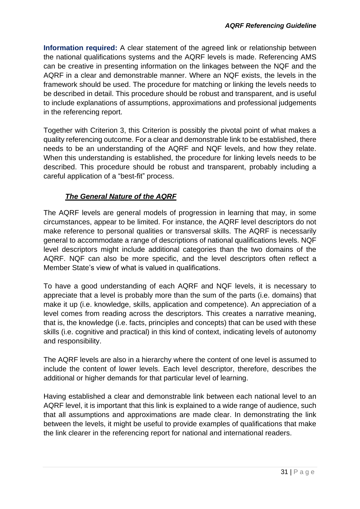**Information required:** A clear statement of the agreed link or relationship between the national qualifications systems and the AQRF levels is made. Referencing AMS can be creative in presenting information on the linkages between the NQF and the AQRF in a clear and demonstrable manner. Where an NQF exists, the levels in the framework should be used. The procedure for matching or linking the levels needs to be described in detail. This procedure should be robust and transparent, and is useful to include explanations of assumptions, approximations and professional judgements in the referencing report.

Together with Criterion 3, this Criterion is possibly the pivotal point of what makes a quality referencing outcome. For a clear and demonstrable link to be established, there needs to be an understanding of the AQRF and NQF levels, and how they relate. When this understanding is established, the procedure for linking levels needs to be described. This procedure should be robust and transparent, probably including a careful application of a "best-fit" process.

# *The General Nature of the AQRF*

The AQRF levels are general models of progression in learning that may, in some circumstances, appear to be limited. For instance, the AQRF level descriptors do not make reference to personal qualities or transversal skills. The AQRF is necessarily general to accommodate a range of descriptions of national qualifications levels. NQF level descriptors might include additional categories than the two domains of the AQRF. NQF can also be more specific, and the level descriptors often reflect a Member State's view of what is valued in qualifications.

To have a good understanding of each AQRF and NQF levels, it is necessary to appreciate that a level is probably more than the sum of the parts (i.e. domains) that make it up (i.e. knowledge, skills, application and competence). An appreciation of a level comes from reading across the descriptors. This creates a narrative meaning, that is, the knowledge (i.e. facts, principles and concepts) that can be used with these skills (i.e. cognitive and practical) in this kind of context, indicating levels of autonomy and responsibility.

The AQRF levels are also in a hierarchy where the content of one level is assumed to include the content of lower levels. Each level descriptor, therefore, describes the additional or higher demands for that particular level of learning.

Having established a clear and demonstrable link between each national level to an AQRF level, it is important that this link is explained to a wide range of audience, such that all assumptions and approximations are made clear. In demonstrating the link between the levels, it might be useful to provide examples of qualifications that make the link clearer in the referencing report for national and international readers.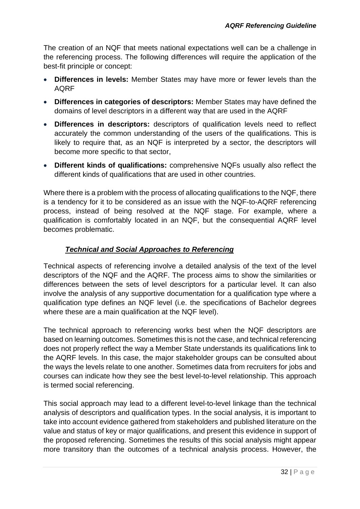The creation of an NQF that meets national expectations well can be a challenge in the referencing process. The following differences will require the application of the best-fit principle or concept:

- **Differences in levels:** Member States may have more or fewer levels than the AQRF
- **Differences in categories of descriptors:** Member States may have defined the domains of level descriptors in a different way that are used in the AQRF
- **Differences in descriptors:** descriptors of qualification levels need to reflect accurately the common understanding of the users of the qualifications. This is likely to require that, as an NQF is interpreted by a sector, the descriptors will become more specific to that sector,
- **Different kinds of qualifications:** comprehensive NQFs usually also reflect the different kinds of qualifications that are used in other countries.

Where there is a problem with the process of allocating qualifications to the NQF, there is a tendency for it to be considered as an issue with the NQF-to-AQRF referencing process, instead of being resolved at the NQF stage. For example, where a qualification is comfortably located in an NQF, but the consequential AQRF level becomes problematic.

# *Technical and Social Approaches to Referencing*

Technical aspects of referencing involve a detailed analysis of the text of the level descriptors of the NQF and the AQRF. The process aims to show the similarities or differences between the sets of level descriptors for a particular level. It can also involve the analysis of any supportive documentation for a qualification type where a qualification type defines an NQF level (i.e. the specifications of Bachelor degrees where these are a main qualification at the NQF level).

The technical approach to referencing works best when the NQF descriptors are based on learning outcomes. Sometimes this is not the case, and technical referencing does not properly reflect the way a Member State understands its qualifications link to the AQRF levels. In this case, the major stakeholder groups can be consulted about the ways the levels relate to one another. Sometimes data from recruiters for jobs and courses can indicate how they see the best level-to-level relationship. This approach is termed social referencing.

This social approach may lead to a different level-to-level linkage than the technical analysis of descriptors and qualification types. In the social analysis, it is important to take into account evidence gathered from stakeholders and published literature on the value and status of key or major qualifications, and present this evidence in support of the proposed referencing. Sometimes the results of this social analysis might appear more transitory than the outcomes of a technical analysis process. However, the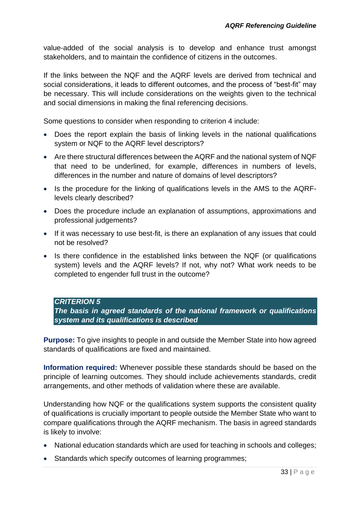value-added of the social analysis is to develop and enhance trust amongst stakeholders, and to maintain the confidence of citizens in the outcomes.

If the links between the NQF and the AQRF levels are derived from technical and social considerations, it leads to different outcomes, and the process of "best-fit" may be necessary. This will include considerations on the weights given to the technical and social dimensions in making the final referencing decisions.

Some questions to consider when responding to criterion 4 include:

- Does the report explain the basis of linking levels in the national qualifications system or NQF to the AQRF level descriptors?
- Are there structural differences between the AQRF and the national system of NQF that need to be underlined, for example, differences in numbers of levels, differences in the number and nature of domains of level descriptors?
- Is the procedure for the linking of qualifications levels in the AMS to the AQRFlevels clearly described?
- Does the procedure include an explanation of assumptions, approximations and professional judgements?
- If it was necessary to use best-fit, is there an explanation of any issues that could not be resolved?
- Is there confidence in the established links between the NQF (or qualifications system) levels and the AQRF levels? If not, why not? What work needs to be completed to engender full trust in the outcome?

#### <span id="page-32-0"></span>*CRITERION 5*

*The basis in agreed standards of the national framework or qualifications system and its qualifications is described*

**Purpose:** To give insights to people in and outside the Member State into how agreed standards of qualifications are fixed and maintained.

**Information required:** Whenever possible these standards should be based on the principle of learning outcomes. They should include achievements standards, credit arrangements, and other methods of validation where these are available.

Understanding how NQF or the qualifications system supports the consistent quality of qualifications is crucially important to people outside the Member State who want to compare qualifications through the AQRF mechanism. The basis in agreed standards is likely to involve:

- National education standards which are used for teaching in schools and colleges;
- Standards which specify outcomes of learning programmes;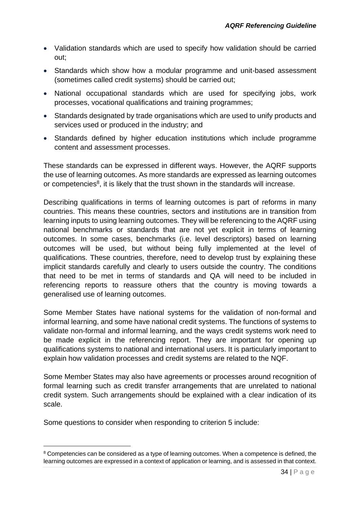- Validation standards which are used to specify how validation should be carried out;
- Standards which show how a modular programme and unit-based assessment (sometimes called credit systems) should be carried out;
- National occupational standards which are used for specifying jobs, work processes, vocational qualifications and training programmes;
- Standards designated by trade organisations which are used to unify products and services used or produced in the industry; and
- Standards defined by higher education institutions which include programme content and assessment processes.

These standards can be expressed in different ways. However, the AQRF supports the use of learning outcomes. As more standards are expressed as learning outcomes or competencies<sup>8</sup>, it is likely that the trust shown in the standards will increase.

Describing qualifications in terms of learning outcomes is part of reforms in many countries. This means these countries, sectors and institutions are in transition from learning inputs to using learning outcomes. They will be referencing to the AQRF using national benchmarks or standards that are not yet explicit in terms of learning outcomes. In some cases, benchmarks (i.e. level descriptors) based on learning outcomes will be used, but without being fully implemented at the level of qualifications. These countries, therefore, need to develop trust by explaining these implicit standards carefully and clearly to users outside the country. The conditions that need to be met in terms of standards and QA will need to be included in referencing reports to reassure others that the country is moving towards a generalised use of learning outcomes.

Some Member States have national systems for the validation of non-formal and informal learning, and some have national credit systems. The functions of systems to validate non-formal and informal learning, and the ways credit systems work need to be made explicit in the referencing report. They are important for opening up qualifications systems to national and international users. It is particularly important to explain how validation processes and credit systems are related to the NQF.

Some Member States may also have agreements or processes around recognition of formal learning such as credit transfer arrangements that are unrelated to national credit system. Such arrangements should be explained with a clear indication of its scale.

Some questions to consider when responding to criterion 5 include:

1

<sup>&</sup>lt;sup>8</sup> Competencies can be considered as a type of learning outcomes. When a competence is defined, the learning outcomes are expressed in a context of application or learning, and is assessed in that context.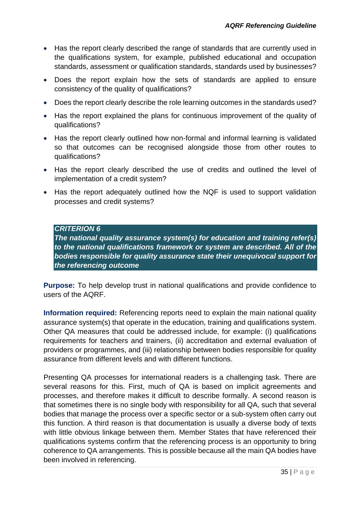- Has the report clearly described the range of standards that are currently used in the qualifications system, for example, published educational and occupation standards, assessment or qualification standards, standards used by businesses?
- Does the report explain how the sets of standards are applied to ensure consistency of the quality of qualifications?
- Does the report clearly describe the role learning outcomes in the standards used?
- Has the report explained the plans for continuous improvement of the quality of qualifications?
- Has the report clearly outlined how non-formal and informal learning is validated so that outcomes can be recognised alongside those from other routes to qualifications?
- Has the report clearly described the use of credits and outlined the level of implementation of a credit system?
- <span id="page-34-0"></span>• Has the report adequately outlined how the NQF is used to support validation processes and credit systems?

# *CRITERION 6*

*The national quality assurance system(s) for education and training refer(s) to the national qualifications framework or system are described. All of the bodies responsible for quality assurance state their unequivocal support for the referencing outcome*

**Purpose:** To help develop trust in national qualifications and provide confidence to users of the AQRF.

**Information required:** Referencing reports need to explain the main national quality assurance system(s) that operate in the education, training and qualifications system. Other QA measures that could be addressed include, for example: (i) qualifications requirements for teachers and trainers, (ii) accreditation and external evaluation of providers or programmes, and (iii) relationship between bodies responsible for quality assurance from different levels and with different functions.

Presenting QA processes for international readers is a challenging task. There are several reasons for this. First, much of QA is based on implicit agreements and processes, and therefore makes it difficult to describe formally. A second reason is that sometimes there is no single body with responsibility for all QA, such that several bodies that manage the process over a specific sector or a sub-system often carry out this function. A third reason is that documentation is usually a diverse body of texts with little obvious linkage between them. Member States that have referenced their qualifications systems confirm that the referencing process is an opportunity to bring coherence to QA arrangements. This is possible because all the main QA bodies have been involved in referencing.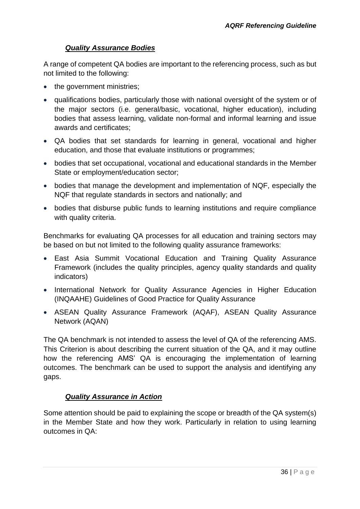# *Quality Assurance Bodies*

A range of competent QA bodies are important to the referencing process, such as but not limited to the following:

- the government ministries;
- qualifications bodies, particularly those with national oversight of the system or of the major sectors (i.e. general/basic, vocational, higher education), including bodies that assess learning, validate non-formal and informal learning and issue awards and certificates;
- QA bodies that set standards for learning in general, vocational and higher education, and those that evaluate institutions or programmes;
- bodies that set occupational, vocational and educational standards in the Member State or employment/education sector;
- bodies that manage the development and implementation of NQF, especially the NQF that regulate standards in sectors and nationally; and
- bodies that disburse public funds to learning institutions and require compliance with quality criteria.

Benchmarks for evaluating QA processes for all education and training sectors may be based on but not limited to the following quality assurance frameworks:

- East Asia Summit Vocational Education and Training Quality Assurance Framework (includes the quality principles, agency quality standards and quality indicators)
- International Network for Quality Assurance Agencies in Higher Education (INQAAHE) Guidelines of Good Practice for Quality Assurance
- ASEAN Quality Assurance Framework (AQAF), ASEAN Quality Assurance Network (AQAN)

The QA benchmark is not intended to assess the level of QA of the referencing AMS. This Criterion is about describing the current situation of the QA, and it may outline how the referencing AMS' QA is encouraging the implementation of learning outcomes. The benchmark can be used to support the analysis and identifying any gaps.

# *Quality Assurance in Action*

Some attention should be paid to explaining the scope or breadth of the QA system(s) in the Member State and how they work. Particularly in relation to using learning outcomes in QA: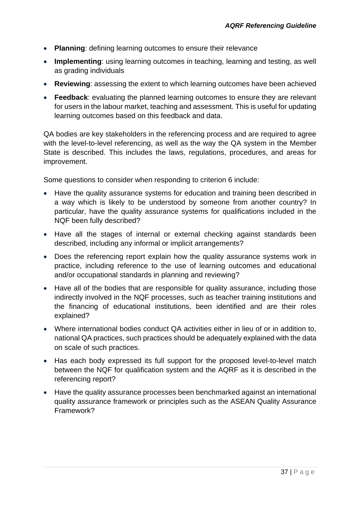- **Planning**: defining learning outcomes to ensure their relevance
- **Implementing**: using learning outcomes in teaching, learning and testing, as well as grading individuals
- **Reviewing**: assessing the extent to which learning outcomes have been achieved
- **Feedback**: evaluating the planned learning outcomes to ensure they are relevant for users in the labour market, teaching and assessment. This is useful for updating learning outcomes based on this feedback and data.

QA bodies are key stakeholders in the referencing process and are required to agree with the level-to-level referencing, as well as the way the QA system in the Member State is described. This includes the laws, regulations, procedures, and areas for improvement.

Some questions to consider when responding to criterion 6 include:

- Have the quality assurance systems for education and training been described in a way which is likely to be understood by someone from another country? In particular, have the quality assurance systems for qualifications included in the NQF been fully described?
- Have all the stages of internal or external checking against standards been described, including any informal or implicit arrangements?
- Does the referencing report explain how the quality assurance systems work in practice, including reference to the use of learning outcomes and educational and/or occupational standards in planning and reviewing?
- Have all of the bodies that are responsible for quality assurance, including those indirectly involved in the NQF processes, such as teacher training institutions and the financing of educational institutions, been identified and are their roles explained?
- Where international bodies conduct QA activities either in lieu of or in addition to, national QA practices, such practices should be adequately explained with the data on scale of such practices.
- Has each body expressed its full support for the proposed level-to-level match between the NQF for qualification system and the AQRF as it is described in the referencing report?
- Have the quality assurance processes been benchmarked against an international quality assurance framework or principles such as the ASEAN Quality Assurance Framework?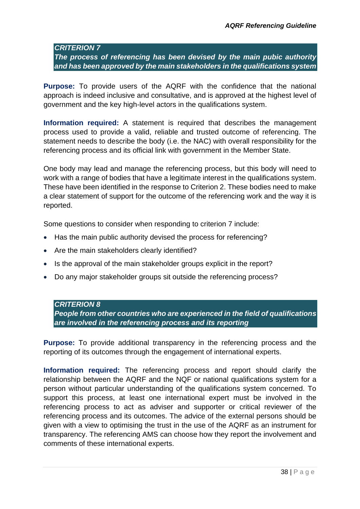#### <span id="page-37-0"></span>*CRITERION 7*

*The process of referencing has been devised by the main pubic authority and has been approved by the main stakeholders in the qualifications system*

**Purpose:** To provide users of the AQRF with the confidence that the national approach is indeed inclusive and consultative, and is approved at the highest level of government and the key high-level actors in the qualifications system.

**Information required:** A statement is required that describes the management process used to provide a valid, reliable and trusted outcome of referencing. The statement needs to describe the body (i.e. the NAC) with overall responsibility for the referencing process and its official link with government in the Member State.

One body may lead and manage the referencing process, but this body will need to work with a range of bodies that have a legitimate interest in the qualifications system. These have been identified in the response to Criterion 2. These bodies need to make a clear statement of support for the outcome of the referencing work and the way it is reported.

Some questions to consider when responding to criterion 7 include:

- Has the main public authority devised the process for referencing?
- Are the main stakeholders clearly identified?
- Is the approval of the main stakeholder groups explicit in the report?
- <span id="page-37-1"></span>Do any major stakeholder groups sit outside the referencing process?

#### *CRITERION 8*

*People from other countries who are experienced in the field of qualifications are involved in the referencing process and its reporting*

**Purpose:** To provide additional transparency in the referencing process and the reporting of its outcomes through the engagement of international experts.

**Information required:** The referencing process and report should clarify the relationship between the AQRF and the NQF or national qualifications system for a person without particular understanding of the qualifications system concerned. To support this process, at least one international expert must be involved in the referencing process to act as adviser and supporter or critical reviewer of the referencing process and its outcomes. The advice of the external persons should be given with a view to optimising the trust in the use of the AQRF as an instrument for transparency. The referencing AMS can choose how they report the involvement and comments of these international experts.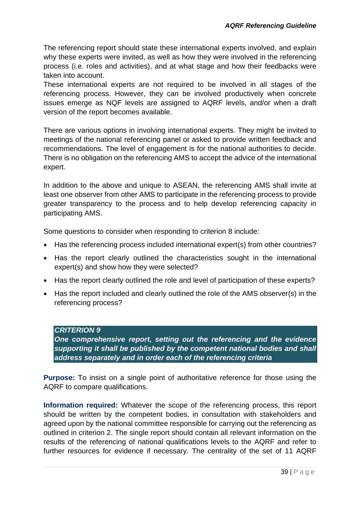The referencing report should state these international experts involved, and explain why these experts were invited, as well as how they were involved in the referencing process (i.e. roles and activities), and at what stage and how their feedbacks were taken into account.

These international experts are not required to be involved in all stages of the referencing process. However, they can be involved productively when concrete issues emerge as NQF levels are assigned to AQRF levels, and/or when a draft version of the report becomes available.

There are various options in involving international experts. They might be invited to meetings of the national referencing panel or asked to provide written feedback and recommendations. The level of engagement is for the national authorities to decide. There is no obligation on the referencing AMS to accept the advice of the international expert.

In addition to the above and unique to ASEAN, the referencing AMS shall invite at least one observer from other AMS to participate in the referencing process to provide greater transparency to the process and to help develop referencing capacity in participating AMS.

Some questions to consider when responding to criterion 8 include:

- Has the referencing process included international expert(s) from other countries?
- Has the report clearly outlined the characteristics sought in the international expert(s) and show how they were selected?
- Has the report clearly outlined the role and level of participation of these experts?
- <span id="page-38-0"></span> Has the report included and clearly outlined the role of the AMS observer(s) in the referencing process?

# *CRITERION 9*

*One comprehensive report, setting out the referencing and the evidence supporting it shall be published by the competent national bodies and shall address separately and in order each of the referencing criteria*

**Purpose:** To insist on a single point of authoritative reference for those using the AQRF to compare qualifications.

**Information required:** Whatever the scope of the referencing process, this report should be written by the competent bodies, in consultation with stakeholders and agreed upon by the national committee responsible for carrying out the referencing as outlined in criterion 2. The single report should contain all relevant information on the results of the referencing of national qualifications levels to the AQRF and refer to further resources for evidence if necessary. The centrality of the set of 11 AQRF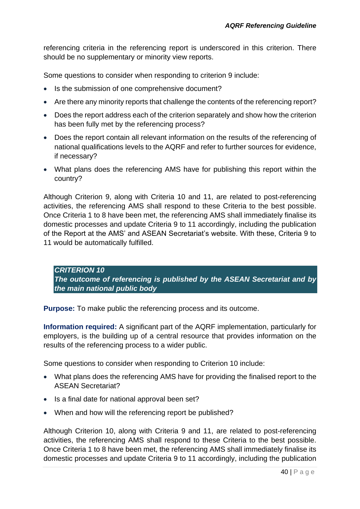referencing criteria in the referencing report is underscored in this criterion. There should be no supplementary or minority view reports.

Some questions to consider when responding to criterion 9 include:

- Is the submission of one comprehensive document?
- Are there any minority reports that challenge the contents of the referencing report?
- Does the report address each of the criterion separately and show how the criterion has been fully met by the referencing process?
- Does the report contain all relevant information on the results of the referencing of national qualifications levels to the AQRF and refer to further sources for evidence, if necessary?
- What plans does the referencing AMS have for publishing this report within the country?

Although Criterion 9, along with Criteria 10 and 11, are related to post-referencing activities, the referencing AMS shall respond to these Criteria to the best possible. Once Criteria 1 to 8 have been met, the referencing AMS shall immediately finalise its domestic processes and update Criteria 9 to 11 accordingly, including the publication of the Report at the AMS' and ASEAN Secretariat's website. With these, Criteria 9 to 11 would be automatically fulfilled.

<span id="page-39-0"></span>*CRITERION 10 The outcome of referencing is published by the ASEAN Secretariat and by the main national public body* 

**Purpose:** To make public the referencing process and its outcome.

**Information required:** A significant part of the AQRF implementation, particularly for employers, is the building up of a central resource that provides information on the results of the referencing process to a wider public.

Some questions to consider when responding to Criterion 10 include:

- What plans does the referencing AMS have for providing the finalised report to the ASEAN Secretariat?
- Is a final date for national approval been set?
- When and how will the referencing report be published?

Although Criterion 10, along with Criteria 9 and 11, are related to post-referencing activities, the referencing AMS shall respond to these Criteria to the best possible. Once Criteria 1 to 8 have been met, the referencing AMS shall immediately finalise its domestic processes and update Criteria 9 to 11 accordingly, including the publication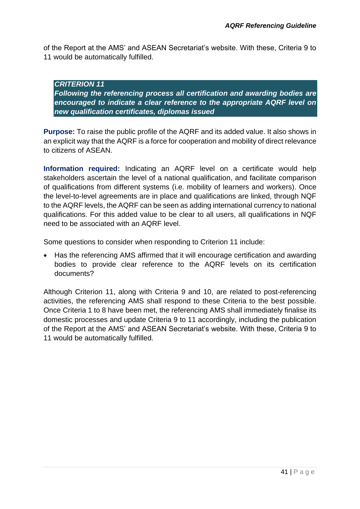<span id="page-40-0"></span>of the Report at the AMS' and ASEAN Secretariat's website. With these, Criteria 9 to 11 would be automatically fulfilled.

*CRITERION 11 Following the referencing process all certification and awarding bodies are encouraged to indicate a clear reference to the appropriate AQRF level on new qualification certificates, diplomas issued*

**Purpose:** To raise the public profile of the AQRF and its added value. It also shows in an explicit way that the AQRF is a force for cooperation and mobility of direct relevance to citizens of ASEAN.

**Information required:** Indicating an AQRF level on a certificate would help stakeholders ascertain the level of a national qualification, and facilitate comparison of qualifications from different systems (i.e. mobility of learners and workers). Once the level-to-level agreements are in place and qualifications are linked, through NQF to the AQRF levels, the AQRF can be seen as adding international currency to national qualifications. For this added value to be clear to all users, all qualifications in NQF need to be associated with an AQRF level.

Some questions to consider when responding to Criterion 11 include:

 Has the referencing AMS affirmed that it will encourage certification and awarding bodies to provide clear reference to the AQRF levels on its certification documents?

Although Criterion 11, along with Criteria 9 and 10, are related to post-referencing activities, the referencing AMS shall respond to these Criteria to the best possible. Once Criteria 1 to 8 have been met, the referencing AMS shall immediately finalise its domestic processes and update Criteria 9 to 11 accordingly, including the publication of the Report at the AMS' and ASEAN Secretariat's website. With these, Criteria 9 to 11 would be automatically fulfilled.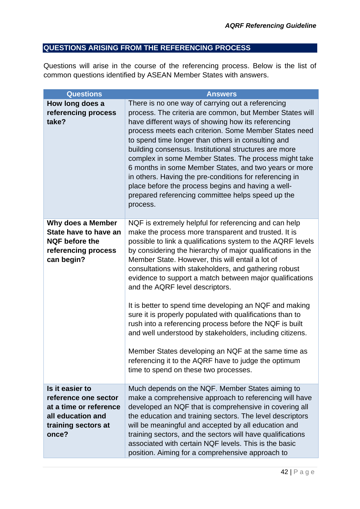# <span id="page-41-0"></span>**QUESTIONS ARISING FROM THE REFERENCING PROCESS**

Questions will arise in the course of the referencing process. Below is the list of common questions identified by ASEAN Member States with answers.

| <b>Questions</b>                                                                                                       | <b>Answers</b>                                                                                                                                                                                                                                                                                                                                                                                                                                                                                                                                                                                                                                                                                                                                                                                                                                                 |
|------------------------------------------------------------------------------------------------------------------------|----------------------------------------------------------------------------------------------------------------------------------------------------------------------------------------------------------------------------------------------------------------------------------------------------------------------------------------------------------------------------------------------------------------------------------------------------------------------------------------------------------------------------------------------------------------------------------------------------------------------------------------------------------------------------------------------------------------------------------------------------------------------------------------------------------------------------------------------------------------|
| How long does a<br>referencing process<br>take?                                                                        | There is no one way of carrying out a referencing<br>process. The criteria are common, but Member States will<br>have different ways of showing how its referencing<br>process meets each criterion. Some Member States need<br>to spend time longer than others in consulting and<br>building consensus. Institutional structures are more<br>complex in some Member States. The process might take<br>6 months in some Member States, and two years or more<br>in others. Having the pre-conditions for referencing in<br>place before the process begins and having a well-<br>prepared referencing committee helps speed up the<br>process.                                                                                                                                                                                                                |
| Why does a Member<br>State have to have an<br><b>NQF</b> before the<br>referencing process<br>can begin?               | NQF is extremely helpful for referencing and can help<br>make the process more transparent and trusted. It is<br>possible to link a qualifications system to the AQRF levels<br>by considering the hierarchy of major qualifications in the<br>Member State. However, this will entail a lot of<br>consultations with stakeholders, and gathering robust<br>evidence to support a match between major qualifications<br>and the AQRF level descriptors.<br>It is better to spend time developing an NQF and making<br>sure it is properly populated with qualifications than to<br>rush into a referencing process before the NQF is built<br>and well understood by stakeholders, including citizens.<br>Member States developing an NQF at the same time as<br>referencing it to the AQRF have to judge the optimum<br>time to spend on these two processes. |
| Is it easier to<br>reference one sector<br>at a time or reference<br>all education and<br>training sectors at<br>once? | Much depends on the NQF. Member States aiming to<br>make a comprehensive approach to referencing will have<br>developed an NQF that is comprehensive in covering all<br>the education and training sectors. The level descriptors<br>will be meaningful and accepted by all education and<br>training sectors, and the sectors will have qualifications<br>associated with certain NQF levels. This is the basic<br>position. Aiming for a comprehensive approach to                                                                                                                                                                                                                                                                                                                                                                                           |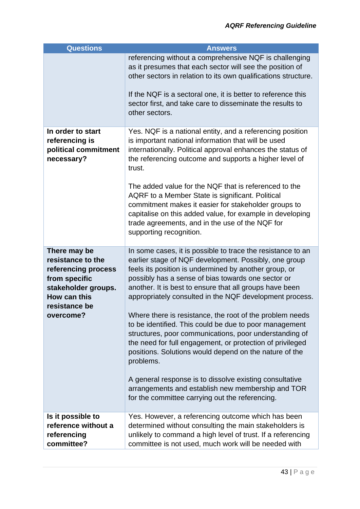| <b>Questions</b>                                                                                                                               | <b>Answers</b>                                                                                                                                                                                                                                                                                                                                                                                                                                                                                                                                                                                                                                                                                                                                                                                                                                   |
|------------------------------------------------------------------------------------------------------------------------------------------------|--------------------------------------------------------------------------------------------------------------------------------------------------------------------------------------------------------------------------------------------------------------------------------------------------------------------------------------------------------------------------------------------------------------------------------------------------------------------------------------------------------------------------------------------------------------------------------------------------------------------------------------------------------------------------------------------------------------------------------------------------------------------------------------------------------------------------------------------------|
|                                                                                                                                                | referencing without a comprehensive NQF is challenging<br>as it presumes that each sector will see the position of<br>other sectors in relation to its own qualifications structure.<br>If the NQF is a sectoral one, it is better to reference this<br>sector first, and take care to disseminate the results to<br>other sectors.                                                                                                                                                                                                                                                                                                                                                                                                                                                                                                              |
| In order to start<br>referencing is<br>political commitment<br>necessary?                                                                      | Yes. NQF is a national entity, and a referencing position<br>is important national information that will be used<br>internationally. Political approval enhances the status of<br>the referencing outcome and supports a higher level of<br>trust.<br>The added value for the NQF that is referenced to the<br>AQRF to a Member State is significant. Political<br>commitment makes it easier for stakeholder groups to<br>capitalise on this added value, for example in developing<br>trade agreements, and in the use of the NQF for<br>supporting recognition.                                                                                                                                                                                                                                                                               |
| There may be<br>resistance to the<br>referencing process<br>from specific<br>stakeholder groups.<br>How can this<br>resistance be<br>overcome? | In some cases, it is possible to trace the resistance to an<br>earlier stage of NQF development. Possibly, one group<br>feels its position is undermined by another group, or<br>possibly has a sense of bias towards one sector or<br>another. It is best to ensure that all groups have been<br>appropriately consulted in the NQF development process.<br>Where there is resistance, the root of the problem needs<br>to be identified. This could be due to poor management<br>structures, poor communications, poor understanding of<br>the need for full engagement, or protection of privileged<br>positions. Solutions would depend on the nature of the<br>problems.<br>A general response is to dissolve existing consultative<br>arrangements and establish new membership and TOR<br>for the committee carrying out the referencing. |
| Is it possible to<br>reference without a<br>referencing<br>committee?                                                                          | Yes. However, a referencing outcome which has been<br>determined without consulting the main stakeholders is<br>unlikely to command a high level of trust. If a referencing<br>committee is not used, much work will be needed with                                                                                                                                                                                                                                                                                                                                                                                                                                                                                                                                                                                                              |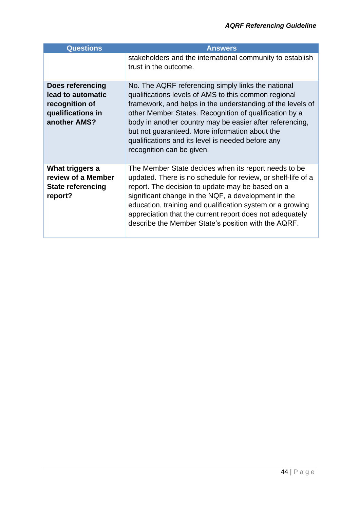| <b>Questions</b>                                                                             | <b>Answers</b>                                                                                                                                                                                                                                                                                                                                                                                                                     |
|----------------------------------------------------------------------------------------------|------------------------------------------------------------------------------------------------------------------------------------------------------------------------------------------------------------------------------------------------------------------------------------------------------------------------------------------------------------------------------------------------------------------------------------|
|                                                                                              | stakeholders and the international community to establish<br>trust in the outcome.                                                                                                                                                                                                                                                                                                                                                 |
| Does referencing<br>lead to automatic<br>recognition of<br>qualifications in<br>another AMS? | No. The AQRF referencing simply links the national<br>qualifications levels of AMS to this common regional<br>framework, and helps in the understanding of the levels of<br>other Member States. Recognition of qualification by a<br>body in another country may be easier after referencing,<br>but not quaranteed. More information about the<br>qualifications and its level is needed before any<br>recognition can be given. |
| What triggers a<br>review of a Member<br><b>State referencing</b><br>report?                 | The Member State decides when its report needs to be<br>updated. There is no schedule for review, or shelf-life of a<br>report. The decision to update may be based on a<br>significant change in the NQF, a development in the<br>education, training and qualification system or a growing<br>appreciation that the current report does not adequately<br>describe the Member State's position with the AQRF.                    |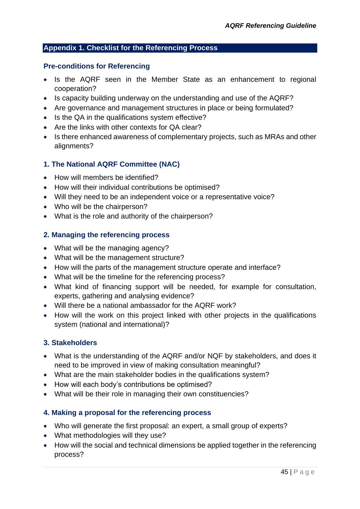#### <span id="page-44-0"></span>**Appendix 1. Checklist for the Referencing Process**

#### **Pre-conditions for Referencing**

- Is the AQRF seen in the Member State as an enhancement to regional cooperation?
- Is capacity building underway on the understanding and use of the AQRF?
- Are governance and management structures in place or being formulated?
- Is the QA in the qualifications system effective?
- Are the links with other contexts for QA clear?
- Is there enhanced awareness of complementary projects, such as MRAs and other alignments?

# **1. The National AQRF Committee (NAC)**

- How will members be identified?
- How will their individual contributions be optimised?
- Will they need to be an independent voice or a representative voice?
- Who will be the chairperson?
- What is the role and authority of the chairperson?

#### **2. Managing the referencing process**

- What will be the managing agency?
- What will be the management structure?
- How will the parts of the management structure operate and interface?
- What will be the timeline for the referencing process?
- What kind of financing support will be needed, for example for consultation, experts, gathering and analysing evidence?
- Will there be a national ambassador for the AQRF work?
- How will the work on this project linked with other projects in the qualifications system (national and international)?

# **3. Stakeholders**

- What is the understanding of the AQRF and/or NQF by stakeholders, and does it need to be improved in view of making consultation meaningful?
- What are the main stakeholder bodies in the qualifications system?
- How will each body's contributions be optimised?
- What will be their role in managing their own constituencies?

# **4. Making a proposal for the referencing process**

- Who will generate the first proposal: an expert, a small group of experts?
- What methodologies will they use?
- How will the social and technical dimensions be applied together in the referencing process?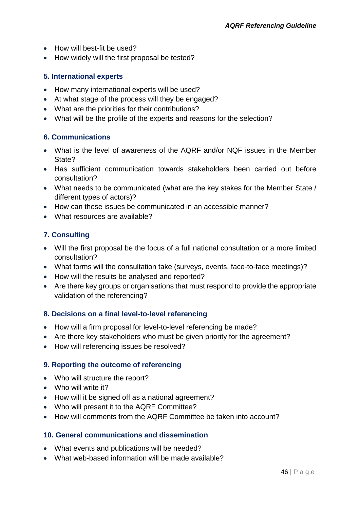- How will best-fit be used?
- How widely will the first proposal be tested?

#### **5. International experts**

- How many international experts will be used?
- At what stage of the process will they be engaged?
- What are the priorities for their contributions?
- What will be the profile of the experts and reasons for the selection?

#### **6. Communications**

- What is the level of awareness of the AQRF and/or NQF issues in the Member State?
- Has sufficient communication towards stakeholders been carried out before consultation?
- What needs to be communicated (what are the key stakes for the Member State / different types of actors)?
- How can these issues be communicated in an accessible manner?
- What resources are available?

# **7. Consulting**

- Will the first proposal be the focus of a full national consultation or a more limited consultation?
- What forms will the consultation take (surveys, events, face-to-face meetings)?
- How will the results be analysed and reported?
- Are there key groups or organisations that must respond to provide the appropriate validation of the referencing?

#### **8. Decisions on a final level-to-level referencing**

- How will a firm proposal for level-to-level referencing be made?
- Are there key stakeholders who must be given priority for the agreement?
- How will referencing issues be resolved?

#### **9. Reporting the outcome of referencing**

- Who will structure the report?
- Who will write it?
- How will it be signed off as a national agreement?
- Who will present it to the AQRF Committee?
- How will comments from the AQRF Committee be taken into account?

#### **10. General communications and dissemination**

- What events and publications will be needed?
- What web-based information will be made available?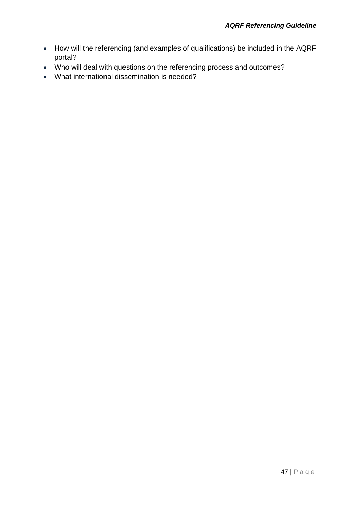- How will the referencing (and examples of qualifications) be included in the AQRF portal?
- Who will deal with questions on the referencing process and outcomes?
- What international dissemination is needed?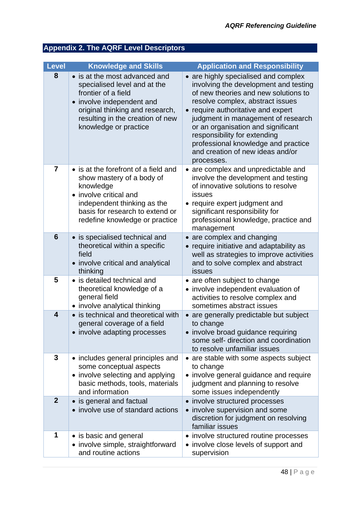# <span id="page-47-0"></span>**Appendix 2. The AQRF Level Descriptors**

| <b>Level</b>            | <b>Knowledge and Skills</b>                                                                                                                                                                                       | <b>Application and Responsibility</b>                                                                                                                                                                                                                                                                                                                                                                |
|-------------------------|-------------------------------------------------------------------------------------------------------------------------------------------------------------------------------------------------------------------|------------------------------------------------------------------------------------------------------------------------------------------------------------------------------------------------------------------------------------------------------------------------------------------------------------------------------------------------------------------------------------------------------|
| 8                       | • is at the most advanced and<br>specialised level and at the<br>frontier of a field<br>• involve independent and<br>original thinking and research,<br>resulting in the creation of new<br>knowledge or practice | • are highly specialised and complex<br>involving the development and testing<br>of new theories and new solutions to<br>resolve complex, abstract issues<br>• require authoritative and expert<br>judgment in management of research<br>or an organisation and significant<br>responsibility for extending<br>professional knowledge and practice<br>and creation of new ideas and/or<br>processes. |
| $\overline{7}$          | • is at the forefront of a field and<br>show mastery of a body of<br>knowledge<br>• involve critical and<br>independent thinking as the<br>basis for research to extend or<br>redefine knowledge or practice      | • are complex and unpredictable and<br>involve the development and testing<br>of innovative solutions to resolve<br>issues<br>• require expert judgment and<br>significant responsibility for<br>professional knowledge, practice and<br>management                                                                                                                                                  |
| 6                       | • is specialised technical and<br>theoretical within a specific<br>field<br>• involve critical and analytical<br>thinking                                                                                         | • are complex and changing<br>require initiative and adaptability as<br>well as strategies to improve activities<br>and to solve complex and abstract<br>issues                                                                                                                                                                                                                                      |
| 5                       | • is detailed technical and<br>theoretical knowledge of a<br>general field<br>• involve analytical thinking                                                                                                       | • are often subject to change<br>• involve independent evaluation of<br>activities to resolve complex and<br>sometimes abstract issues                                                                                                                                                                                                                                                               |
| $\overline{\mathbf{4}}$ | • is technical and theoretical with<br>general coverage of a field<br>• involve adapting processes                                                                                                                | • are generally predictable but subject<br>to change<br>involve broad guidance requiring<br>some self- direction and coordination<br>to resolve unfamiliar issues                                                                                                                                                                                                                                    |
| 3                       | • includes general principles and<br>some conceptual aspects<br>• involve selecting and applying<br>basic methods, tools, materials<br>and information                                                            | • are stable with some aspects subject<br>to change<br>• involve general guidance and require<br>judgment and planning to resolve<br>some issues independently                                                                                                                                                                                                                                       |
| $\overline{2}$          | • is general and factual<br>• involve use of standard actions                                                                                                                                                     | • involve structured processes<br>• involve supervision and some<br>discretion for judgment on resolving<br>familiar issues                                                                                                                                                                                                                                                                          |
| 1                       | • is basic and general<br>• involve simple, straightforward<br>and routine actions                                                                                                                                | • involve structured routine processes<br>• involve close levels of support and<br>supervision                                                                                                                                                                                                                                                                                                       |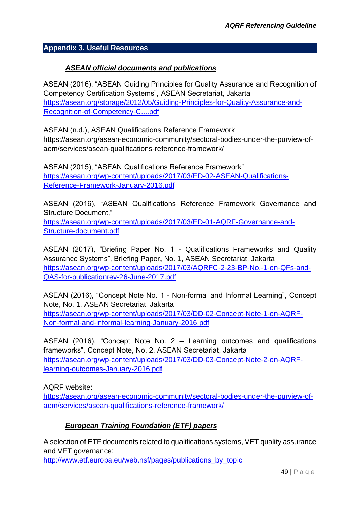#### <span id="page-48-0"></span>**Appendix 3. Useful Resources**

#### *ASEAN official documents and publications*

ASEAN (2016), "ASEAN Guiding Principles for Quality Assurance and Recognition of Competency Certification Systems", ASEAN Secretariat, Jakarta [https://asean.org/storage/2012/05/Guiding-Principles-for-Quality-Assurance-and-](https://asean.org/storage/2012/05/Guiding-Principles-for-Quality-Assurance-and-Recognition-of-Competency-C....pdf)[Recognition-of-Competency-C....pdf](https://asean.org/storage/2012/05/Guiding-Principles-for-Quality-Assurance-and-Recognition-of-Competency-C....pdf)

ASEAN (n.d.), ASEAN Qualifications Reference Framework [https://asean.org/asean-economic-community/sectoral-bodies-under-the-purview-of](https://asean.org/asean-economic-community/sectoral-bodies-under-the-purview-of-aem/services/asean-qualifications-reference-framework/)[aem/services/asean-qualifications-reference-framework/](https://asean.org/asean-economic-community/sectoral-bodies-under-the-purview-of-aem/services/asean-qualifications-reference-framework/)

ASEAN (2015), "ASEAN Qualifications Reference Framework" [https://asean.org/wp-content/uploads/2017/03/ED-02-ASEAN-Qualifications-](https://asean.org/wp-content/uploads/2017/03/ED-02-ASEAN-Qualifications-Reference-Framework-January-2016.pdf)[Reference-Framework-January-2016.pdf](https://asean.org/wp-content/uploads/2017/03/ED-02-ASEAN-Qualifications-Reference-Framework-January-2016.pdf)

ASEAN (2016), "ASEAN Qualifications Reference Framework Governance and Structure Document,"

[https://asean.org/wp-content/uploads/2017/03/ED-01-AQRF-Governance-and-](https://asean.org/wp-content/uploads/2017/03/ED-01-AQRF-Governance-and-Structure-document.pdf)[Structure-document.pdf](https://asean.org/wp-content/uploads/2017/03/ED-01-AQRF-Governance-and-Structure-document.pdf)

ASEAN (2017), "Briefing Paper No. 1 - Qualifications Frameworks and Quality Assurance Systems", Briefing Paper, No. 1, ASEAN Secretariat, Jakarta [https://asean.org/wp-content/uploads/2017/03/AQRFC-2-23-BP-No.-1-on-QFs-and-](https://asean.org/wp-content/uploads/2017/03/AQRFC-2-23-BP-No.-1-on-QFs-and-QAS-for-publicationrev-26-June-2017.pdf)[QAS-for-publicationrev-26-June-2017.pdf](https://asean.org/wp-content/uploads/2017/03/AQRFC-2-23-BP-No.-1-on-QFs-and-QAS-for-publicationrev-26-June-2017.pdf)

ASEAN (2016), "Concept Note No. 1 - Non-formal and Informal Learning", Concept Note, No. 1, ASEAN Secretariat, Jakarta [https://asean.org/wp-content/uploads/2017/03/DD-02-Concept-Note-1-on-AQRF-](https://asean.org/wp-content/uploads/2017/03/DD-02-Concept-Note-1-on-AQRF-Non-formal-and-informal-learning-January-2016.pdf)[Non-formal-and-informal-learning-January-2016.pdf](https://asean.org/wp-content/uploads/2017/03/DD-02-Concept-Note-1-on-AQRF-Non-formal-and-informal-learning-January-2016.pdf)

ASEAN (2016), "Concept Note No. 2 – Learning outcomes and qualifications frameworks", Concept Note, No. 2, ASEAN Secretariat, Jakarta [https://asean.org/wp-content/uploads/2017/03/DD-03-Concept-Note-2-on-AQRF](https://asean.org/wp-content/uploads/2017/03/DD-03-Concept-Note-2-on-AQRF-learning-outcomes-January-2016.pdf)[learning-outcomes-January-2016.pdf](https://asean.org/wp-content/uploads/2017/03/DD-03-Concept-Note-2-on-AQRF-learning-outcomes-January-2016.pdf)

AQRF website:

[https://asean.org/asean-economic-community/sectoral-bodies-under-the-purview-of](https://asean.org/asean-economic-community/sectoral-bodies-under-the-purview-of-aem/services/asean-qualifications-reference-framework/)[aem/services/asean-qualifications-reference-framework/](https://asean.org/asean-economic-community/sectoral-bodies-under-the-purview-of-aem/services/asean-qualifications-reference-framework/)

# *European Training Foundation (ETF) papers*

A selection of ETF documents related to qualifications systems, VET quality assurance and VET governance:

[http://www.etf.europa.eu/web.nsf/pages/publications\\_by\\_topic](http://www.etf.europa.eu/web.nsf/pages/publications_by_topic)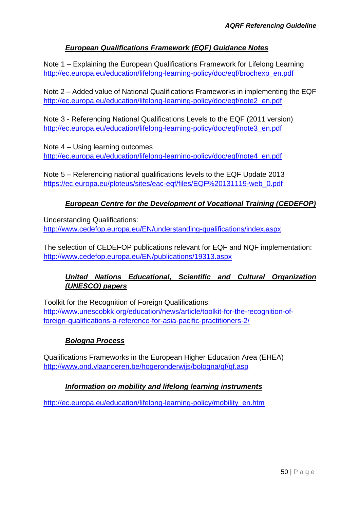# *European Qualifications Framework (EQF) Guidance Notes*

Note 1 – Explaining the European Qualifications Framework for Lifelong Learning [http://ec.europa.eu/education/lifelong-learning-policy/doc/eqf/brochexp\\_en.pdf](http://ec.europa.eu/education/lifelong-learning-policy/doc/eqf/brochexp_en.pdf)

Note 2 – Added value of National Qualifications Frameworks in implementing the EQF [http://ec.europa.eu/education/lifelong-learning-policy/doc/eqf/note2\\_en.pdf](http://ec.europa.eu/education/lifelong-learning-policy/doc/eqf/note2_en.pdf)

Note 3 - Referencing National Qualifications Levels to the EQF (2011 version) [http://ec.europa.eu/education/lifelong-learning-policy/doc/eqf/note3\\_en.pdf](http://ec.europa.eu/education/lifelong-learning-policy/doc/eqf/note3_en.pdf)

Note 4 – Using learning outcomes [http://ec.europa.eu/education/lifelong-learning-policy/doc/eqf/note4\\_en.pdf](http://ec.europa.eu/education/lifelong-learning-policy/doc/eqf/note4_en.pdf)

Note 5 – Referencing national qualifications levels to the EQF Update 2013 [https://ec.europa.eu/ploteus/sites/eac-eqf/files/EQF%20131119-web\\_0.pdf](https://ec.europa.eu/ploteus/sites/eac-eqf/files/EQF%20131119-web_0.pdf)

# *European Centre for the Development of Vocational Training (CEDEFOP)*

Understanding Qualifications: <http://www.cedefop.europa.eu/EN/understanding-qualifications/index.aspx>

The selection of CEDEFOP publications relevant for EQF and NQF implementation: <http://www.cedefop.europa.eu/EN/publications/19313.aspx>

# *United Nations Educational, Scientific and Cultural Organization (UNESCO) papers*

Toolkit for the Recognition of Foreign Qualifications: [http://www.unescobkk.org/education/news/article/toolkit-for-the-recognition-of](http://www.unescobkk.org/education/news/article/toolkit-for-the-recognition-of-foreign-qualifications-a-reference-for-asia-pacific-practitioners-2/)[foreign-qualifications-a-reference-for-asia-pacific-practitioners-2/](http://www.unescobkk.org/education/news/article/toolkit-for-the-recognition-of-foreign-qualifications-a-reference-for-asia-pacific-practitioners-2/)

# *Bologna Process*

Qualifications Frameworks in the European Higher Education Area (EHEA) <http://www.ond.vlaanderen.be/hogeronderwijs/bologna/qf/qf.asp>

# *Information on mobility and lifelong learning instruments*

[http://ec.europa.eu/education/lifelong-learning-policy/mobility\\_en.htm](http://ec.europa.eu/education/lifelong-learning-policy/mobility_en.htm)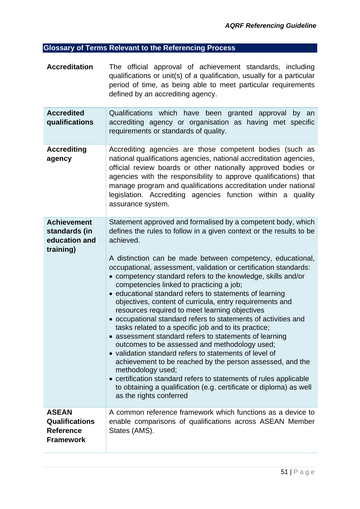# <span id="page-50-0"></span>**Glossary of Terms Relevant to the Referencing Process**

| <b>Accreditation</b>                                                          | The official approval of achievement standards, including<br>qualifications or unit(s) of a qualification, usually for a particular<br>period of time, as being able to meet particular requirements<br>defined by an accrediting agency.                                                                                                                                                                                                                                                                                                                                                                                                                                                                                                                                                                                                                                                                                                                                                                                                                                                                                      |
|-------------------------------------------------------------------------------|--------------------------------------------------------------------------------------------------------------------------------------------------------------------------------------------------------------------------------------------------------------------------------------------------------------------------------------------------------------------------------------------------------------------------------------------------------------------------------------------------------------------------------------------------------------------------------------------------------------------------------------------------------------------------------------------------------------------------------------------------------------------------------------------------------------------------------------------------------------------------------------------------------------------------------------------------------------------------------------------------------------------------------------------------------------------------------------------------------------------------------|
| <b>Accredited</b><br>qualifications                                           | Qualifications which have been granted approval<br>by an<br>accrediting agency or organisation as having met specific<br>requirements or standards of quality.                                                                                                                                                                                                                                                                                                                                                                                                                                                                                                                                                                                                                                                                                                                                                                                                                                                                                                                                                                 |
| <b>Accrediting</b><br>agency                                                  | Accrediting agencies are those competent bodies (such as<br>national qualifications agencies, national accreditation agencies,<br>official review boards or other nationally approved bodies or<br>agencies with the responsibility to approve qualifications) that<br>manage program and qualifications accreditation under national<br>legislation. Accrediting agencies function within a quality<br>assurance system.                                                                                                                                                                                                                                                                                                                                                                                                                                                                                                                                                                                                                                                                                                      |
| <b>Achievement</b><br>standards (in<br>education and<br>training)             | Statement approved and formalised by a competent body, which<br>defines the rules to follow in a given context or the results to be<br>achieved.<br>A distinction can be made between competency, educational,<br>occupational, assessment, validation or certification standards:<br>• competency standard refers to the knowledge, skills and/or<br>competencies linked to practicing a job;<br>• educational standard refers to statements of learning<br>objectives, content of curricula, entry requirements and<br>resources required to meet learning objectives<br>• occupational standard refers to statements of activities and<br>tasks related to a specific job and to its practice;<br>• assessment standard refers to statements of learning<br>outcomes to be assessed and methodology used;<br>• validation standard refers to statements of level of<br>achievement to be reached by the person assessed, and the<br>methodology used;<br>• certification standard refers to statements of rules applicable<br>to obtaining a qualification (e.g. certificate or diploma) as well<br>as the rights conferred |
| <b>ASEAN</b><br><b>Qualifications</b><br><b>Reference</b><br><b>Framework</b> | A common reference framework which functions as a device to<br>enable comparisons of qualifications across ASEAN Member<br>States (AMS).                                                                                                                                                                                                                                                                                                                                                                                                                                                                                                                                                                                                                                                                                                                                                                                                                                                                                                                                                                                       |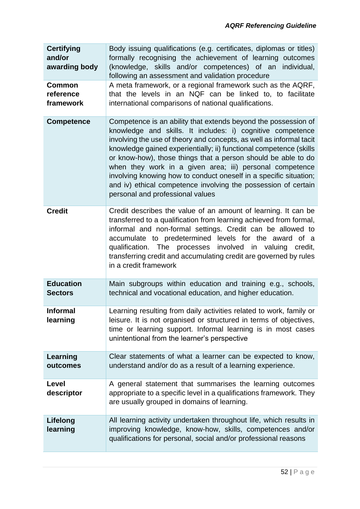| <b>Certifying</b><br>and/or<br>awarding body | Body issuing qualifications (e.g. certificates, diplomas or titles)<br>formally recognising the achievement of learning outcomes<br>(knowledge, skills and/or competences) of an individual,<br>following an assessment and validation procedure                                                                                                                                                                                                                                                                                                                                  |
|----------------------------------------------|-----------------------------------------------------------------------------------------------------------------------------------------------------------------------------------------------------------------------------------------------------------------------------------------------------------------------------------------------------------------------------------------------------------------------------------------------------------------------------------------------------------------------------------------------------------------------------------|
| <b>Common</b><br>reference<br>framework      | A meta framework, or a regional framework such as the AQRF,<br>that the levels in an NQF can be linked to, to facilitate<br>international comparisons of national qualifications.                                                                                                                                                                                                                                                                                                                                                                                                 |
| <b>Competence</b>                            | Competence is an ability that extends beyond the possession of<br>knowledge and skills. It includes: i) cognitive competence<br>involving the use of theory and concepts, as well as informal tacit<br>knowledge gained experientially; ii) functional competence (skills<br>or know-how), those things that a person should be able to do<br>when they work in a given area; iii) personal competence<br>involving knowing how to conduct oneself in a specific situation;<br>and iv) ethical competence involving the possession of certain<br>personal and professional values |
| <b>Credit</b>                                | Credit describes the value of an amount of learning. It can be<br>transferred to a qualification from learning achieved from formal,<br>informal and non-formal settings. Credit can be allowed to<br>accumulate to predetermined levels for the award of a<br>qualification. The processes involved in valuing credit,<br>transferring credit and accumulating credit are governed by rules<br>in a credit framework                                                                                                                                                             |
| <b>Education</b><br><b>Sectors</b>           | Main subgroups within education and training e.g., schools,<br>technical and vocational education, and higher education.                                                                                                                                                                                                                                                                                                                                                                                                                                                          |
| <b>Informal</b><br>learning                  | Learning resulting from daily activities related to work, family or<br>leisure. It is not organised or structured in terms of objectives,<br>time or learning support. Informal learning is in most cases<br>unintentional from the learner's perspective                                                                                                                                                                                                                                                                                                                         |
| Learning<br>outcomes                         | Clear statements of what a learner can be expected to know,<br>understand and/or do as a result of a learning experience.                                                                                                                                                                                                                                                                                                                                                                                                                                                         |
| Level<br>descriptor                          | A general statement that summarises the learning outcomes<br>appropriate to a specific level in a qualifications framework. They<br>are usually grouped in domains of learning.                                                                                                                                                                                                                                                                                                                                                                                                   |
| Lifelong<br>learning                         | All learning activity undertaken throughout life, which results in<br>improving knowledge, know-how, skills, competences and/or<br>qualifications for personal, social and/or professional reasons                                                                                                                                                                                                                                                                                                                                                                                |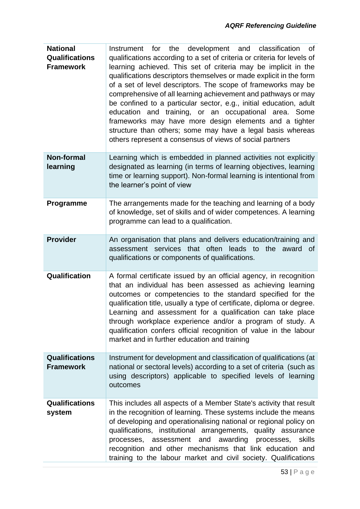| <b>National</b><br><b>Qualifications</b><br><b>Framework</b> | Instrument for the development and classification of<br>qualifications according to a set of criteria or criteria for levels of<br>learning achieved. This set of criteria may be implicit in the<br>qualifications descriptors themselves or made explicit in the form<br>of a set of level descriptors. The scope of frameworks may be<br>comprehensive of all learning achievement and pathways or may<br>be confined to a particular sector, e.g., initial education, adult<br>education and training, or an occupational area. Some<br>frameworks may have more design elements and a tighter<br>structure than others; some may have a legal basis whereas<br>others represent a consensus of views of social partners |
|--------------------------------------------------------------|------------------------------------------------------------------------------------------------------------------------------------------------------------------------------------------------------------------------------------------------------------------------------------------------------------------------------------------------------------------------------------------------------------------------------------------------------------------------------------------------------------------------------------------------------------------------------------------------------------------------------------------------------------------------------------------------------------------------------|
| <b>Non-formal</b><br>learning                                | Learning which is embedded in planned activities not explicitly<br>designated as learning (in terms of learning objectives, learning<br>time or learning support). Non-formal learning is intentional from<br>the learner's point of view                                                                                                                                                                                                                                                                                                                                                                                                                                                                                    |
| Programme                                                    | The arrangements made for the teaching and learning of a body<br>of knowledge, set of skills and of wider competences. A learning<br>programme can lead to a qualification.                                                                                                                                                                                                                                                                                                                                                                                                                                                                                                                                                  |
| <b>Provider</b>                                              | An organisation that plans and delivers education/training and<br>assessment services that often leads to<br>the award<br>0f<br>qualifications or components of qualifications.                                                                                                                                                                                                                                                                                                                                                                                                                                                                                                                                              |
| Qualification                                                | A formal certificate issued by an official agency, in recognition<br>that an individual has been assessed as achieving learning<br>outcomes or competencies to the standard specified for the<br>qualification title, usually a type of certificate, diploma or degree.<br>Learning and assessment for a qualification can take place<br>through workplace experience and/or a program of study. A<br>qualification confers official recognition of value in the labour<br>market and in further education and training                                                                                                                                                                                                      |
| <b>Qualifications</b><br><b>Framework</b>                    | Instrument for development and classification of qualifications (at<br>national or sectoral levels) according to a set of criteria (such as<br>using descriptors) applicable to specified levels of learning<br>outcomes                                                                                                                                                                                                                                                                                                                                                                                                                                                                                                     |
| <b>Qualifications</b><br>system                              | This includes all aspects of a Member State's activity that result<br>in the recognition of learning. These systems include the means<br>of developing and operationalising national or regional policy on<br>qualifications, institutional arrangements, quality assurance<br>processes, assessment and awarding processes,<br>skills<br>recognition and other mechanisms that link education and<br>training to the labour market and civil society. Qualifications                                                                                                                                                                                                                                                        |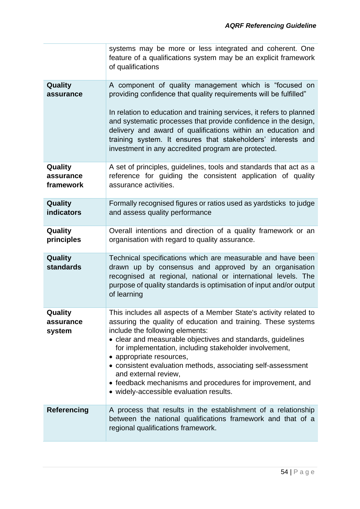|                                   | systems may be more or less integrated and coherent. One<br>feature of a qualifications system may be an explicit framework<br>of qualifications                                                                                                                                                                                                                                                                                                                                                                           |
|-----------------------------------|----------------------------------------------------------------------------------------------------------------------------------------------------------------------------------------------------------------------------------------------------------------------------------------------------------------------------------------------------------------------------------------------------------------------------------------------------------------------------------------------------------------------------|
| Quality<br>assurance              | A component of quality management which is "focused on<br>providing confidence that quality requirements will be fulfilled"<br>In relation to education and training services, it refers to planned<br>and systematic processes that provide confidence in the design,<br>delivery and award of qualifications within an education and<br>training system. It ensures that stakeholders' interests and<br>investment in any accredited program are protected.                                                              |
| Quality<br>assurance<br>framework | A set of principles, guidelines, tools and standards that act as a<br>reference for guiding the consistent application of quality<br>assurance activities.                                                                                                                                                                                                                                                                                                                                                                 |
| Quality<br><b>indicators</b>      | Formally recognised figures or ratios used as yardsticks to judge<br>and assess quality performance                                                                                                                                                                                                                                                                                                                                                                                                                        |
| Quality<br>principles             | Overall intentions and direction of a quality framework or an<br>organisation with regard to quality assurance.                                                                                                                                                                                                                                                                                                                                                                                                            |
| Quality<br><b>standards</b>       | Technical specifications which are measurable and have been<br>drawn up by consensus and approved by an organisation<br>recognised at regional, national or international levels. The<br>purpose of quality standards is optimisation of input and/or output<br>of learning                                                                                                                                                                                                                                                |
| Quality<br>assurance<br>system    | This includes all aspects of a Member State's activity related to<br>assuring the quality of education and training. These systems<br>include the following elements:<br>• clear and measurable objectives and standards, guidelines<br>for implementation, including stakeholder involvement,<br>• appropriate resources,<br>• consistent evaluation methods, associating self-assessment<br>and external review,<br>• feedback mechanisms and procedures for improvement, and<br>• widely-accessible evaluation results. |
| <b>Referencing</b>                | A process that results in the establishment of a relationship<br>between the national qualifications framework and that of a<br>regional qualifications framework.                                                                                                                                                                                                                                                                                                                                                         |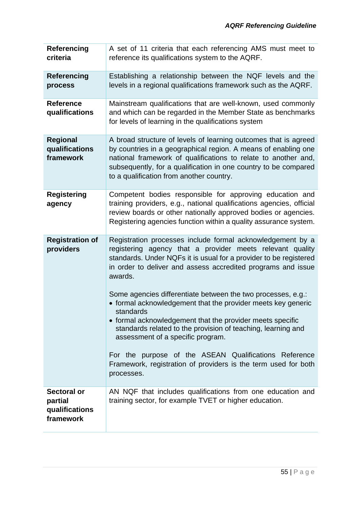| <b>Referencing</b><br>criteria                               | A set of 11 criteria that each referencing AMS must meet to<br>reference its qualifications system to the AQRF.                                                                                                                                                                                                                                                                                                                        |
|--------------------------------------------------------------|----------------------------------------------------------------------------------------------------------------------------------------------------------------------------------------------------------------------------------------------------------------------------------------------------------------------------------------------------------------------------------------------------------------------------------------|
| <b>Referencing</b><br>process                                | Establishing a relationship between the NQF levels and the<br>levels in a regional qualifications framework such as the AQRF.                                                                                                                                                                                                                                                                                                          |
| <b>Reference</b><br>qualifications                           | Mainstream qualifications that are well-known, used commonly<br>and which can be regarded in the Member State as benchmarks<br>for levels of learning in the qualifications system                                                                                                                                                                                                                                                     |
| <b>Regional</b><br>qualifications<br>framework               | A broad structure of levels of learning outcomes that is agreed<br>by countries in a geographical region. A means of enabling one<br>national framework of qualifications to relate to another and,<br>subsequently, for a qualification in one country to be compared<br>to a qualification from another country.                                                                                                                     |
| <b>Registering</b><br>agency                                 | Competent bodies responsible for approving education and<br>training providers, e.g., national qualifications agencies, official<br>review boards or other nationally approved bodies or agencies.<br>Registering agencies function within a quality assurance system.                                                                                                                                                                 |
| <b>Registration of</b><br>providers                          | Registration processes include formal acknowledgement by a<br>registering agency that a provider meets relevant quality<br>standards. Under NQFs it is usual for a provider to be registered<br>in order to deliver and assess accredited programs and issue<br>awards.                                                                                                                                                                |
|                                                              | Some agencies differentiate between the two processes, e.g.:<br>• formal acknowledgement that the provider meets key generic<br>standards<br>• formal acknowledgement that the provider meets specific<br>standards related to the provision of teaching, learning and<br>assessment of a specific program.<br>For the purpose of the ASEAN Qualifications Reference<br>Framework, registration of providers is the term used for both |
|                                                              | processes.                                                                                                                                                                                                                                                                                                                                                                                                                             |
| <b>Sectoral or</b><br>partial<br>qualifications<br>framework | AN NQF that includes qualifications from one education and<br>training sector, for example TVET or higher education.                                                                                                                                                                                                                                                                                                                   |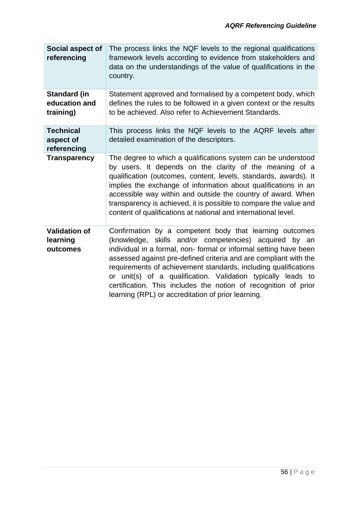| Social aspect of<br>referencing                   | The process links the NQF levels to the regional qualifications<br>framework levels according to evidence from stakeholders and<br>data on the understandings of the value of qualifications in the<br>country.                                                                                                                                                                                                                                                                                                       |
|---------------------------------------------------|-----------------------------------------------------------------------------------------------------------------------------------------------------------------------------------------------------------------------------------------------------------------------------------------------------------------------------------------------------------------------------------------------------------------------------------------------------------------------------------------------------------------------|
| <b>Standard (in</b><br>education and<br>training) | Statement approved and formalised by a competent body, which<br>defines the rules to be followed in a given context or the results<br>to be achieved. Also refer to Achievement Standards.                                                                                                                                                                                                                                                                                                                            |
| <b>Technical</b><br>aspect of<br>referencing      | This process links the NQF levels to the AQRF levels after<br>detailed examination of the descriptors.                                                                                                                                                                                                                                                                                                                                                                                                                |
| <b>Transparency</b>                               | The degree to which a qualifications system can be understood<br>by users. It depends on the clarity of the meaning of a<br>qualification (outcomes, content, levels, standards, awards). It<br>implies the exchange of information about qualifications in an<br>accessible way within and outside the country of award. When<br>transparency is achieved, it is possible to compare the value and<br>content of qualifications at national and international level.                                                 |
| <b>Validation of</b><br>learning<br>outcomes      | Confirmation by a competent body that learning outcomes<br>(knowledge, skills and/or competencies) acquired by an<br>individual in a formal, non-formal or informal setting have been<br>assessed against pre-defined criteria and are compliant with the<br>requirements of achievement standards, including qualifications<br>or unit(s) of a qualification. Validation typically leads to<br>certification. This includes the notion of recognition of prior<br>learning (RPL) or accreditation of prior learning. |